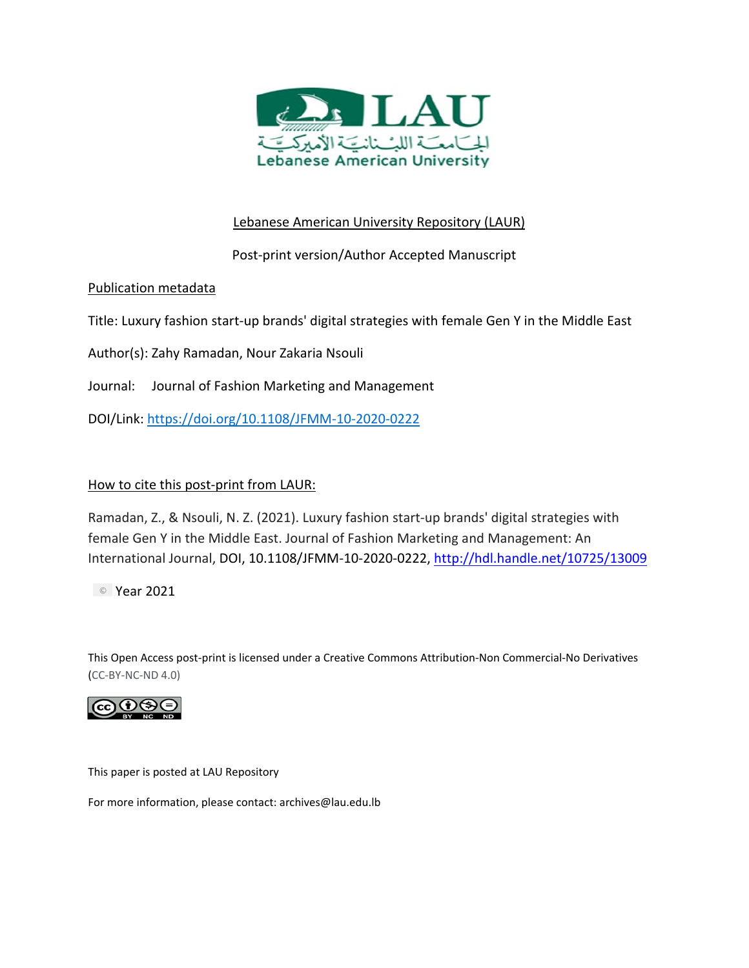

# Lebanese American University Repository (LAUR)

Post‐print version/Author Accepted Manuscript

## Publication metadata

Title: Luxury fashion start‐up brands' digital strategies with female Gen Y in the Middle East

Author(s): Zahy Ramadan, Nour Zakaria Nsouli

Journal: Journal of Fashion Marketing and Management

DOI/Link: https://doi.org/10.1108/JFMM‐10‐2020‐0222

## How to cite this post-print from LAUR:

Ramadan, Z., & Nsouli, N. Z. (2021). Luxury fashion start‐up brands' digital strategies with female Gen Y in the Middle East. Journal of Fashion Marketing and Management: An International Journal, DOI, 10.1108/JFMM‐10‐2020‐0222, http://hdl.handle.net/10725/13009

Year 2021

This Open Access post‐print is licensed under a Creative Commons Attribution‐Non Commercial‐No Derivatives (CC‐BY‐NC‐ND 4.0)



This paper is posted at LAU Repository

For more information, please contact: archives@lau.edu.lb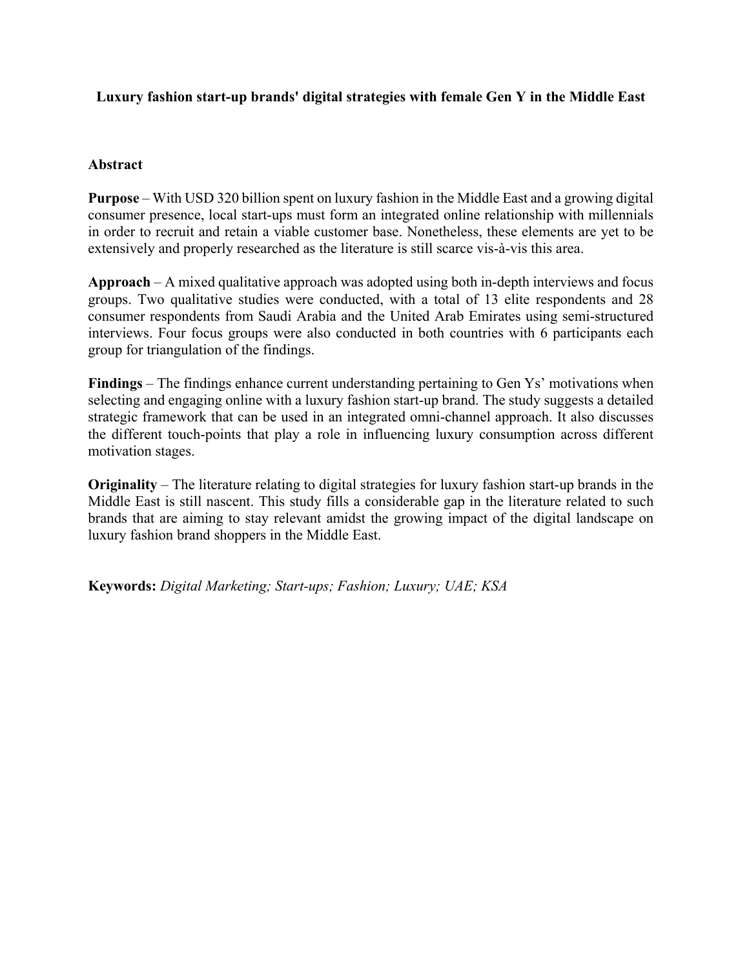## **Luxury fashion start-up brands' digital strategies with female Gen Y in the Middle East**

## **Abstract**

**Purpose** – With USD 320 billion spent on luxury fashion in the Middle East and a growing digital consumer presence, local start-ups must form an integrated online relationship with millennials in order to recruit and retain a viable customer base. Nonetheless, these elements are yet to be extensively and properly researched as the literature is still scarce vis-à-vis this area.

**Approach** – A mixed qualitative approach was adopted using both in-depth interviews and focus groups. Two qualitative studies were conducted, with a total of 13 elite respondents and 28 consumer respondents from Saudi Arabia and the United Arab Emirates using semi-structured interviews. Four focus groups were also conducted in both countries with 6 participants each group for triangulation of the findings.

**Findings** – The findings enhance current understanding pertaining to Gen Ys' motivations when selecting and engaging online with a luxury fashion start-up brand. The study suggests a detailed strategic framework that can be used in an integrated omni-channel approach. It also discusses the different touch-points that play a role in influencing luxury consumption across different motivation stages.

**Originality** – The literature relating to digital strategies for luxury fashion start-up brands in the Middle East is still nascent. This study fills a considerable gap in the literature related to such brands that are aiming to stay relevant amidst the growing impact of the digital landscape on luxury fashion brand shoppers in the Middle East.

**Keywords:** *Digital Marketing; Start-ups; Fashion; Luxury; UAE; KSA*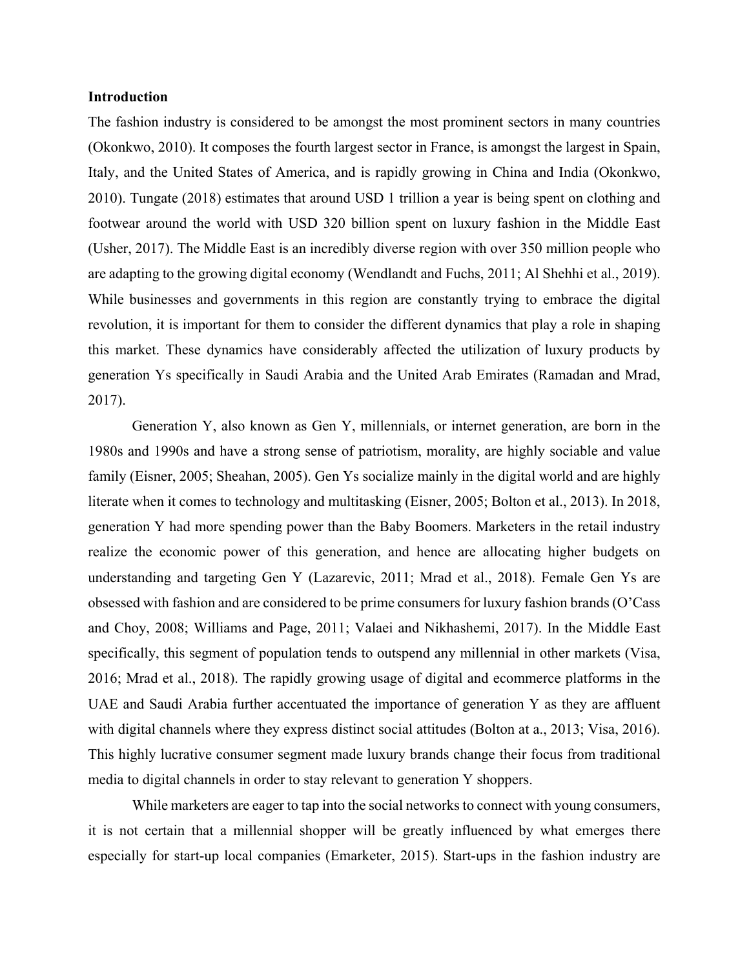### **Introduction**

The fashion industry is considered to be amongst the most prominent sectors in many countries (Okonkwo, 2010). It composes the fourth largest sector in France, is amongst the largest in Spain, Italy, and the United States of America, and is rapidly growing in China and India (Okonkwo, 2010). Tungate (2018) estimates that around USD 1 trillion a year is being spent on clothing and footwear around the world with USD 320 billion spent on luxury fashion in the Middle East (Usher, 2017). The Middle East is an incredibly diverse region with over 350 million people who are adapting to the growing digital economy (Wendlandt and Fuchs, 2011; Al Shehhi et al., 2019). While businesses and governments in this region are constantly trying to embrace the digital revolution, it is important for them to consider the different dynamics that play a role in shaping this market. These dynamics have considerably affected the utilization of luxury products by generation Ys specifically in Saudi Arabia and the United Arab Emirates (Ramadan and Mrad, 2017).

Generation Y, also known as Gen Y, millennials, or internet generation, are born in the 1980s and 1990s and have a strong sense of patriotism, morality, are highly sociable and value family (Eisner, 2005; Sheahan, 2005). Gen Ys socialize mainly in the digital world and are highly literate when it comes to technology and multitasking (Eisner, 2005; Bolton et al., 2013). In 2018, generation Y had more spending power than the Baby Boomers. Marketers in the retail industry realize the economic power of this generation, and hence are allocating higher budgets on understanding and targeting Gen Y (Lazarevic, 2011; Mrad et al., 2018). Female Gen Ys are obsessed with fashion and are considered to be prime consumers for luxury fashion brands (O'Cass and Choy, 2008; Williams and Page, 2011; Valaei and Nikhashemi, 2017). In the Middle East specifically, this segment of population tends to outspend any millennial in other markets (Visa, 2016; Mrad et al., 2018). The rapidly growing usage of digital and ecommerce platforms in the UAE and Saudi Arabia further accentuated the importance of generation Y as they are affluent with digital channels where they express distinct social attitudes (Bolton at a., 2013; Visa, 2016). This highly lucrative consumer segment made luxury brands change their focus from traditional media to digital channels in order to stay relevant to generation Y shoppers.

While marketers are eager to tap into the social networks to connect with young consumers, it is not certain that a millennial shopper will be greatly influenced by what emerges there especially for start-up local companies (Emarketer, 2015). Start-ups in the fashion industry are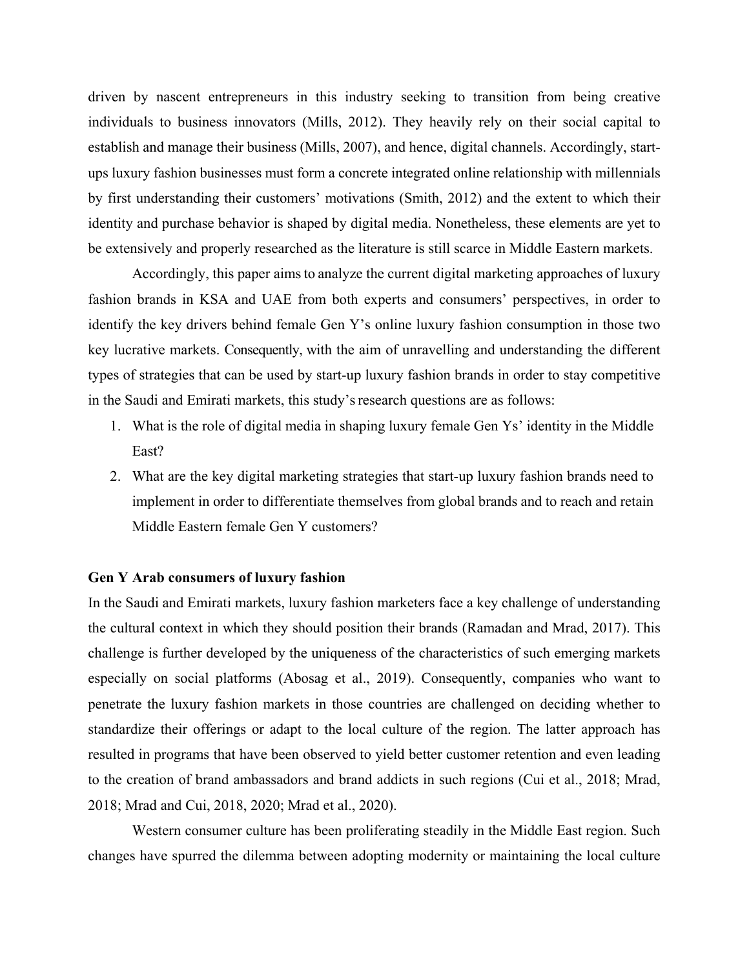driven by nascent entrepreneurs in this industry seeking to transition from being creative individuals to business innovators (Mills, 2012). They heavily rely on their social capital to establish and manage their business (Mills, 2007), and hence, digital channels. Accordingly, startups luxury fashion businesses must form a concrete integrated online relationship with millennials by first understanding their customers' motivations (Smith, 2012) and the extent to which their identity and purchase behavior is shaped by digital media. Nonetheless, these elements are yet to be extensively and properly researched as the literature is still scarce in Middle Eastern markets.

Accordingly, this paper aims to analyze the current digital marketing approaches of luxury fashion brands in KSA and UAE from both experts and consumers' perspectives, in order to identify the key drivers behind female Gen Y's online luxury fashion consumption in those two key lucrative markets. Consequently, with the aim of unravelling and understanding the different types of strategies that can be used by start-up luxury fashion brands in order to stay competitive in the Saudi and Emirati markets, this study's research questions are as follows:

- 1. What is the role of digital media in shaping luxury female Gen Ys' identity in the Middle East?
- 2. What are the key digital marketing strategies that start-up luxury fashion brands need to implement in order to differentiate themselves from global brands and to reach and retain Middle Eastern female Gen Y customers?

#### **Gen Y Arab consumers of luxury fashion**

In the Saudi and Emirati markets, luxury fashion marketers face a key challenge of understanding the cultural context in which they should position their brands (Ramadan and Mrad, 2017). This challenge is further developed by the uniqueness of the characteristics of such emerging markets especially on social platforms (Abosag et al., 2019). Consequently, companies who want to penetrate the luxury fashion markets in those countries are challenged on deciding whether to standardize their offerings or adapt to the local culture of the region. The latter approach has resulted in programs that have been observed to yield better customer retention and even leading to the creation of brand ambassadors and brand addicts in such regions (Cui et al., 2018; Mrad, 2018; Mrad and Cui, 2018, 2020; Mrad et al., 2020).

Western consumer culture has been proliferating steadily in the Middle East region. Such changes have spurred the dilemma between adopting modernity or maintaining the local culture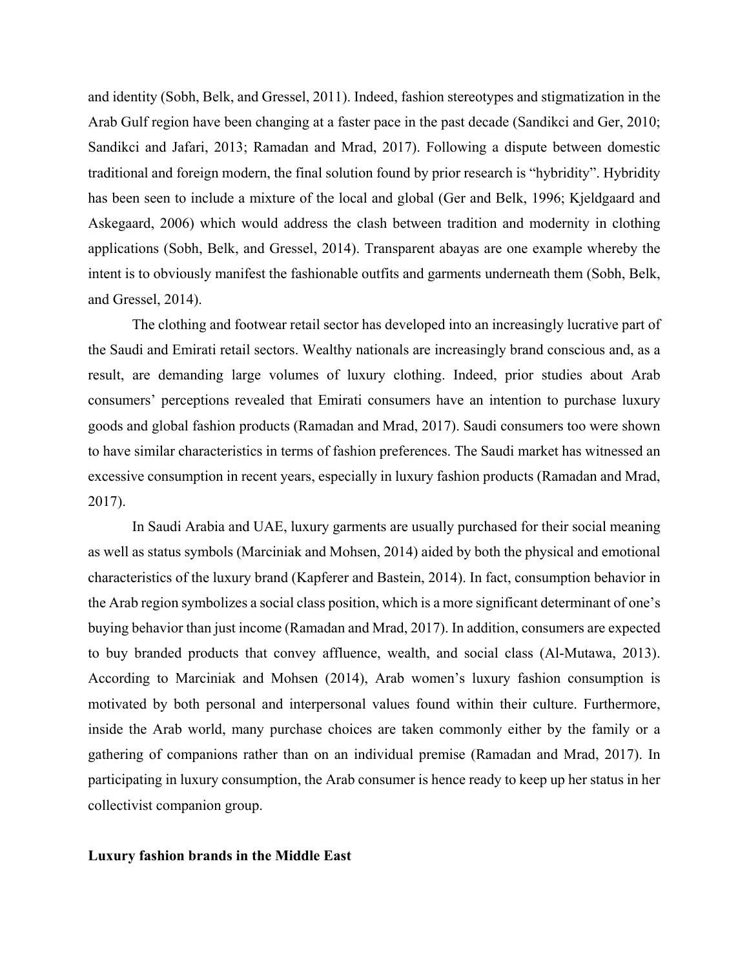and identity (Sobh, Belk, and Gressel, 2011). Indeed, fashion stereotypes and stigmatization in the Arab Gulf region have been changing at a faster pace in the past decade (Sandikci and Ger, 2010; Sandikci and Jafari, 2013; Ramadan and Mrad, 2017). Following a dispute between domestic traditional and foreign modern, the final solution found by prior research is "hybridity". Hybridity has been seen to include a mixture of the local and global (Ger and Belk, 1996; Kjeldgaard and Askegaard, 2006) which would address the clash between tradition and modernity in clothing applications (Sobh, Belk, and Gressel, 2014). Transparent abayas are one example whereby the intent is to obviously manifest the fashionable outfits and garments underneath them (Sobh, Belk, and Gressel, 2014).

The clothing and footwear retail sector has developed into an increasingly lucrative part of the Saudi and Emirati retail sectors. Wealthy nationals are increasingly brand conscious and, as a result, are demanding large volumes of luxury clothing. Indeed, prior studies about Arab consumers' perceptions revealed that Emirati consumers have an intention to purchase luxury goods and global fashion products (Ramadan and Mrad, 2017). Saudi consumers too were shown to have similar characteristics in terms of fashion preferences. The Saudi market has witnessed an excessive consumption in recent years, especially in luxury fashion products (Ramadan and Mrad, 2017).

In Saudi Arabia and UAE, luxury garments are usually purchased for their social meaning as well as status symbols (Marciniak and Mohsen, 2014) aided by both the physical and emotional characteristics of the luxury brand (Kapferer and Bastein, 2014). In fact, consumption behavior in the Arab region symbolizes a social class position, which is a more significant determinant of one's buying behavior than just income (Ramadan and Mrad, 2017). In addition, consumers are expected to buy branded products that convey affluence, wealth, and social class (Al-Mutawa, 2013). According to Marciniak and Mohsen (2014), Arab women's luxury fashion consumption is motivated by both personal and interpersonal values found within their culture. Furthermore, inside the Arab world, many purchase choices are taken commonly either by the family or a gathering of companions rather than on an individual premise (Ramadan and Mrad, 2017). In participating in luxury consumption, the Arab consumer is hence ready to keep up her status in her collectivist companion group.

#### **Luxury fashion brands in the Middle East**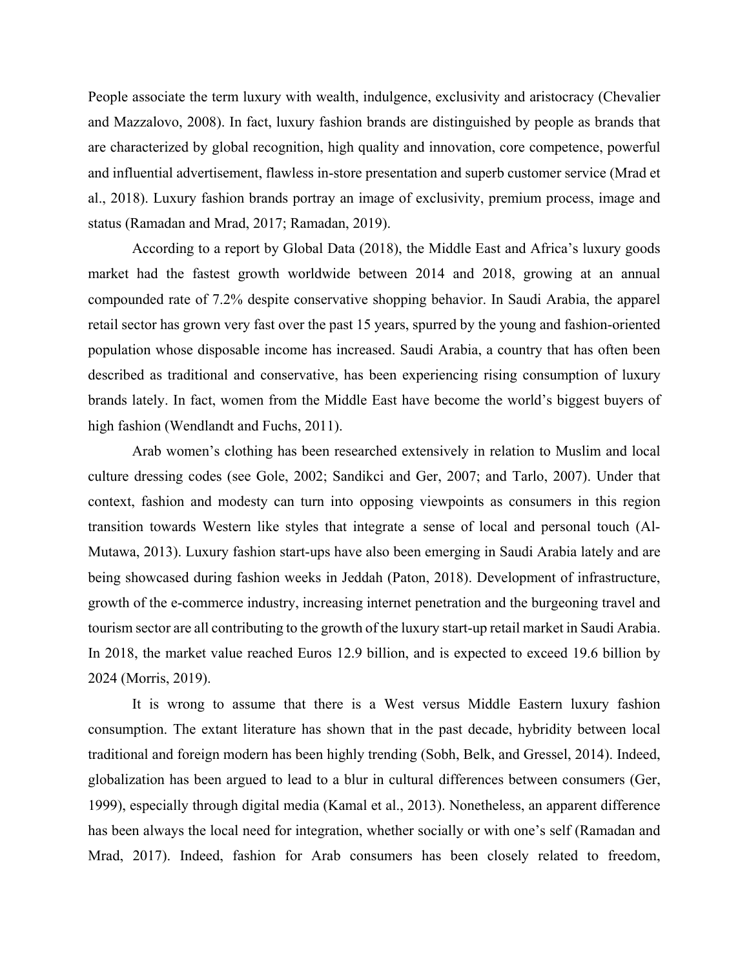People associate the term luxury with wealth, indulgence, exclusivity and aristocracy (Chevalier and Mazzalovo, 2008). In fact, luxury fashion brands are distinguished by people as brands that are characterized by global recognition, high quality and innovation, core competence, powerful and influential advertisement, flawless in-store presentation and superb customer service (Mrad et al., 2018). Luxury fashion brands portray an image of exclusivity, premium process, image and status (Ramadan and Mrad, 2017; Ramadan, 2019).

According to a report by Global Data (2018), the Middle East and Africa's luxury goods market had the fastest growth worldwide between 2014 and 2018, growing at an annual compounded rate of 7.2% despite conservative shopping behavior. In Saudi Arabia, the apparel retail sector has grown very fast over the past 15 years, spurred by the young and fashion-oriented population whose disposable income has increased. Saudi Arabia, a country that has often been described as traditional and conservative, has been experiencing rising consumption of luxury brands lately. In fact, women from the Middle East have become the world's biggest buyers of high fashion (Wendlandt and Fuchs, 2011).

Arab women's clothing has been researched extensively in relation to Muslim and local culture dressing codes (see Gole, 2002; Sandikci and Ger, 2007; and Tarlo, 2007). Under that context, fashion and modesty can turn into opposing viewpoints as consumers in this region transition towards Western like styles that integrate a sense of local and personal touch (Al‐ Mutawa, 2013). Luxury fashion start-ups have also been emerging in Saudi Arabia lately and are being showcased during fashion weeks in Jeddah (Paton, 2018). Development of infrastructure, growth of the e-commerce industry, increasing internet penetration and the burgeoning travel and tourism sector are all contributing to the growth of the luxury start-up retail market in Saudi Arabia. In 2018, the market value reached Euros 12.9 billion, and is expected to exceed 19.6 billion by 2024 (Morris, 2019).

It is wrong to assume that there is a West versus Middle Eastern luxury fashion consumption. The extant literature has shown that in the past decade, hybridity between local traditional and foreign modern has been highly trending (Sobh, Belk, and Gressel, 2014). Indeed, globalization has been argued to lead to a blur in cultural differences between consumers (Ger, 1999), especially through digital media (Kamal et al., 2013). Nonetheless, an apparent difference has been always the local need for integration, whether socially or with one's self (Ramadan and Mrad, 2017). Indeed, fashion for Arab consumers has been closely related to freedom,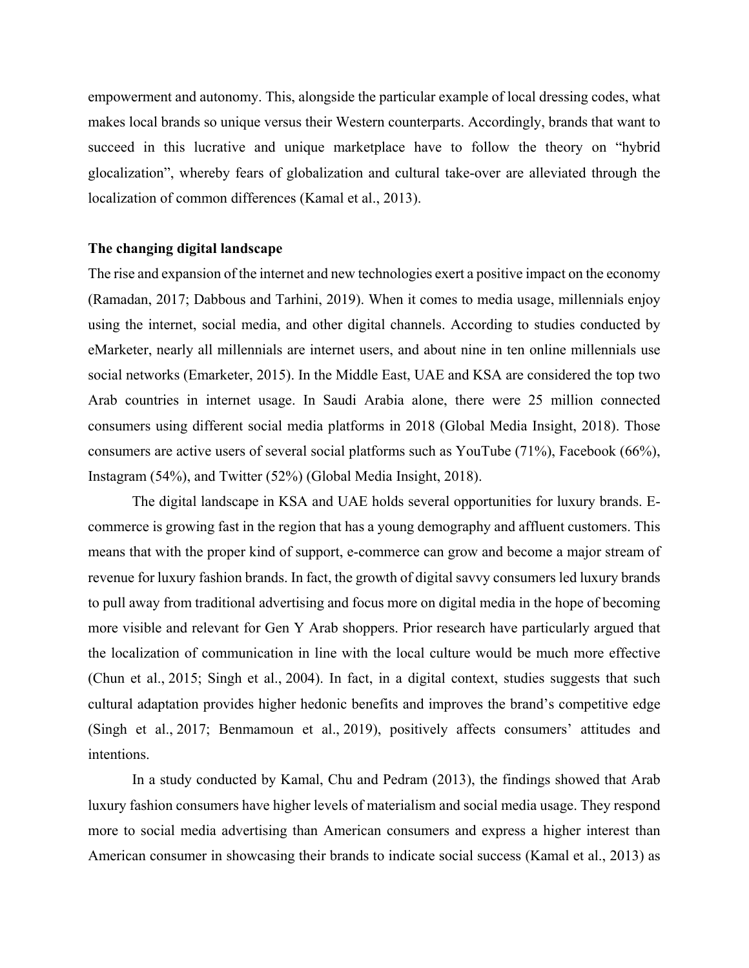empowerment and autonomy. This, alongside the particular example of local dressing codes, what makes local brands so unique versus their Western counterparts. Accordingly, brands that want to succeed in this lucrative and unique marketplace have to follow the theory on "hybrid glocalization", whereby fears of globalization and cultural take-over are alleviated through the localization of common differences (Kamal et al., 2013).

### **The changing digital landscape**

The rise and expansion of the internet and new technologies exert a positive impact on the economy (Ramadan, 2017; Dabbous and Tarhini, 2019). When it comes to media usage, millennials enjoy using the internet, social media, and other digital channels. According to studies conducted by eMarketer, nearly all millennials are internet users, and about nine in ten online millennials use social networks (Emarketer, 2015). In the Middle East, UAE and KSA are considered the top two Arab countries in internet usage. In Saudi Arabia alone, there were 25 million connected consumers using different social media platforms in 2018 (Global Media Insight, 2018). Those consumers are active users of several social platforms such as YouTube (71%), Facebook (66%), Instagram (54%), and Twitter (52%) (Global Media Insight, 2018).

The digital landscape in KSA and UAE holds several opportunities for luxury brands. Ecommerce is growing fast in the region that has a young demography and affluent customers. This means that with the proper kind of support, e-commerce can grow and become a major stream of revenue for luxury fashion brands. In fact, the growth of digital savvy consumers led luxury brands to pull away from traditional advertising and focus more on digital media in the hope of becoming more visible and relevant for Gen Y Arab shoppers. Prior research have particularly argued that the localization of communication in line with the local culture would be much more effective (Chun et al., 2015; Singh et al., 2004). In fact, in a digital context, studies suggests that such cultural adaptation provides higher hedonic benefits and improves the brand's competitive edge (Singh et al., 2017; Benmamoun et al., 2019), positively affects consumers' attitudes and intentions.

In a study conducted by Kamal, Chu and Pedram (2013), the findings showed that Arab luxury fashion consumers have higher levels of materialism and social media usage. They respond more to social media advertising than American consumers and express a higher interest than American consumer in showcasing their brands to indicate social success (Kamal et al., 2013) as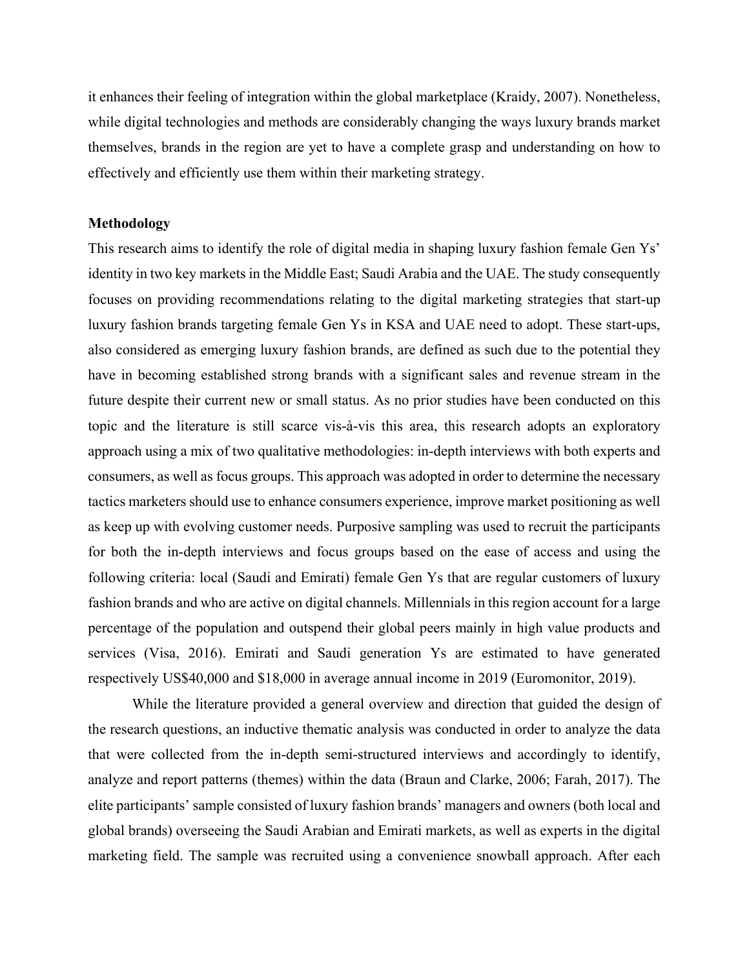it enhances their feeling of integration within the global marketplace (Kraidy, 2007). Nonetheless, while digital technologies and methods are considerably changing the ways luxury brands market themselves, brands in the region are yet to have a complete grasp and understanding on how to effectively and efficiently use them within their marketing strategy.

### **Methodology**

This research aims to identify the role of digital media in shaping luxury fashion female Gen Ys' identity in two key markets in the Middle East; Saudi Arabia and the UAE. The study consequently focuses on providing recommendations relating to the digital marketing strategies that start-up luxury fashion brands targeting female Gen Ys in KSA and UAE need to adopt. These start-ups, also considered as emerging luxury fashion brands, are defined as such due to the potential they have in becoming established strong brands with a significant sales and revenue stream in the future despite their current new or small status. As no prior studies have been conducted on this topic and the literature is still scarce vis-à-vis this area, this research adopts an exploratory approach using a mix of two qualitative methodologies: in-depth interviews with both experts and consumers, as well as focus groups. This approach was adopted in order to determine the necessary tactics marketers should use to enhance consumers experience, improve market positioning as well as keep up with evolving customer needs. Purposive sampling was used to recruit the participants for both the in-depth interviews and focus groups based on the ease of access and using the following criteria: local (Saudi and Emirati) female Gen Ys that are regular customers of luxury fashion brands and who are active on digital channels. Millennials in this region account for a large percentage of the population and outspend their global peers mainly in high value products and services (Visa, 2016). Emirati and Saudi generation Ys are estimated to have generated respectively US\$40,000 and \$18,000 in average annual income in 2019 (Euromonitor, 2019).

While the literature provided a general overview and direction that guided the design of the research questions, an inductive thematic analysis was conducted in order to analyze the data that were collected from the in-depth semi-structured interviews and accordingly to identify, analyze and report patterns (themes) within the data (Braun and Clarke, 2006; Farah, 2017). The elite participants' sample consisted of luxury fashion brands' managers and owners (both local and global brands) overseeing the Saudi Arabian and Emirati markets, as well as experts in the digital marketing field. The sample was recruited using a convenience snowball approach. After each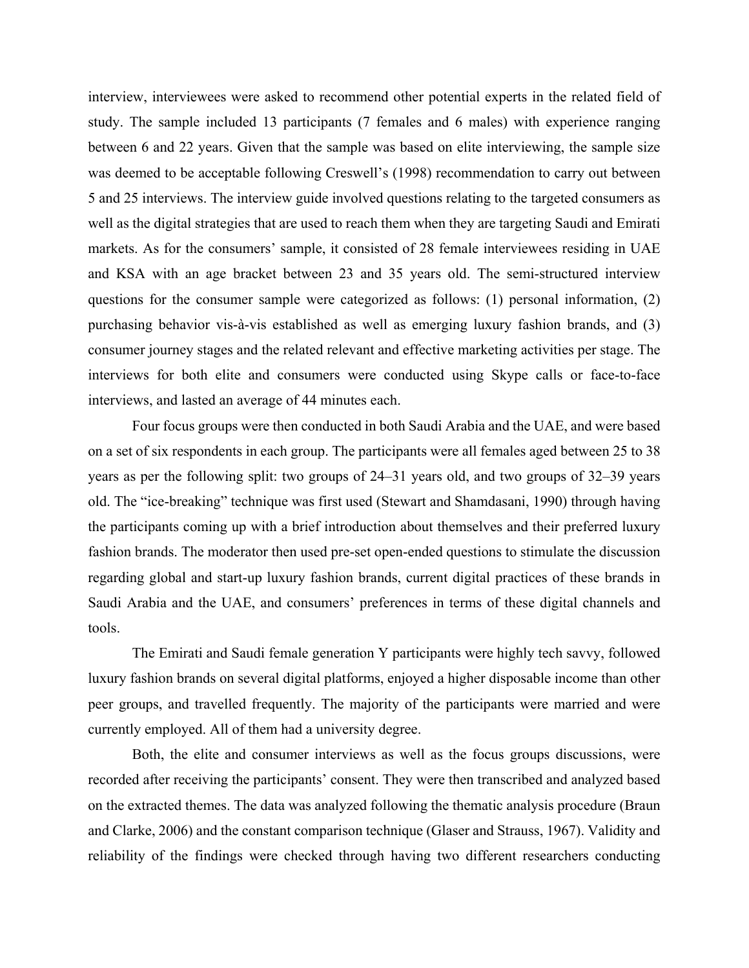interview, interviewees were asked to recommend other potential experts in the related field of study. The sample included 13 participants (7 females and 6 males) with experience ranging between 6 and 22 years. Given that the sample was based on elite interviewing, the sample size was deemed to be acceptable following Creswell's (1998) recommendation to carry out between 5 and 25 interviews. The interview guide involved questions relating to the targeted consumers as well as the digital strategies that are used to reach them when they are targeting Saudi and Emirati markets. As for the consumers' sample, it consisted of 28 female interviewees residing in UAE and KSA with an age bracket between 23 and 35 years old. The semi-structured interview questions for the consumer sample were categorized as follows: (1) personal information, (2) purchasing behavior vis-à-vis established as well as emerging luxury fashion brands, and (3) consumer journey stages and the related relevant and effective marketing activities per stage. The interviews for both elite and consumers were conducted using Skype calls or face-to-face interviews, and lasted an average of 44 minutes each.

Four focus groups were then conducted in both Saudi Arabia and the UAE, and were based on a set of six respondents in each group. The participants were all females aged between 25 to 38 years as per the following split: two groups of 24–31 years old, and two groups of 32–39 years old. The "ice-breaking" technique was first used (Stewart and Shamdasani, 1990) through having the participants coming up with a brief introduction about themselves and their preferred luxury fashion brands. The moderator then used pre-set open-ended questions to stimulate the discussion regarding global and start-up luxury fashion brands, current digital practices of these brands in Saudi Arabia and the UAE, and consumers' preferences in terms of these digital channels and tools.

The Emirati and Saudi female generation Y participants were highly tech savvy, followed luxury fashion brands on several digital platforms, enjoyed a higher disposable income than other peer groups, and travelled frequently. The majority of the participants were married and were currently employed. All of them had a university degree.

Both, the elite and consumer interviews as well as the focus groups discussions, were recorded after receiving the participants' consent. They were then transcribed and analyzed based on the extracted themes. The data was analyzed following the thematic analysis procedure (Braun and Clarke, 2006) and the constant comparison technique (Glaser and Strauss, 1967). Validity and reliability of the findings were checked through having two different researchers conducting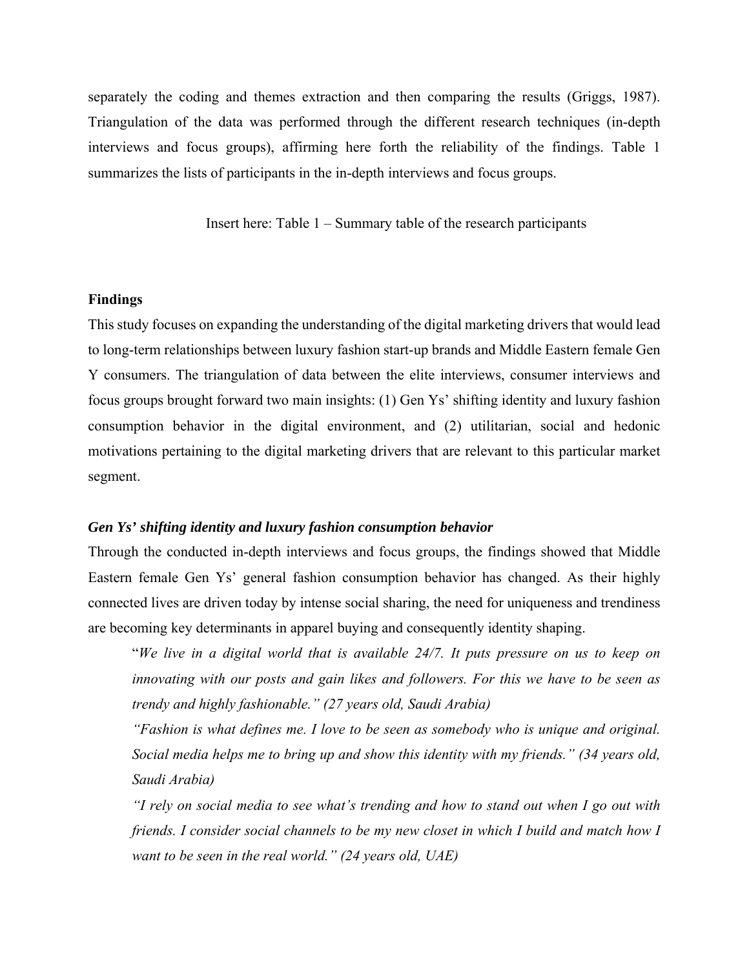separately the coding and themes extraction and then comparing the results (Griggs, 1987). Triangulation of the data was performed through the different research techniques (in-depth interviews and focus groups), affirming here forth the reliability of the findings. Table 1 summarizes the lists of participants in the in-depth interviews and focus groups.

Insert here: Table 1 – Summary table of the research participants

### **Findings**

This study focuses on expanding the understanding of the digital marketing drivers that would lead to long-term relationships between luxury fashion start-up brands and Middle Eastern female Gen Y consumers. The triangulation of data between the elite interviews, consumer interviews and focus groups brought forward two main insights: (1) Gen Ys' shifting identity and luxury fashion consumption behavior in the digital environment, and (2) utilitarian, social and hedonic motivations pertaining to the digital marketing drivers that are relevant to this particular market segment.

#### *Gen Ys' shifting identity and luxury fashion consumption behavior*

Through the conducted in-depth interviews and focus groups, the findings showed that Middle Eastern female Gen Ys' general fashion consumption behavior has changed. As their highly connected lives are driven today by intense social sharing, the need for uniqueness and trendiness are becoming key determinants in apparel buying and consequently identity shaping.

"*We live in a digital world that is available 24/7. It puts pressure on us to keep on innovating with our posts and gain likes and followers. For this we have to be seen as trendy and highly fashionable." (27 years old, Saudi Arabia)* 

*"Fashion is what defines me. I love to be seen as somebody who is unique and original. Social media helps me to bring up and show this identity with my friends." (34 years old, Saudi Arabia)* 

*"I rely on social media to see what's trending and how to stand out when I go out with friends. I consider social channels to be my new closet in which I build and match how I want to be seen in the real world." (24 years old, UAE)*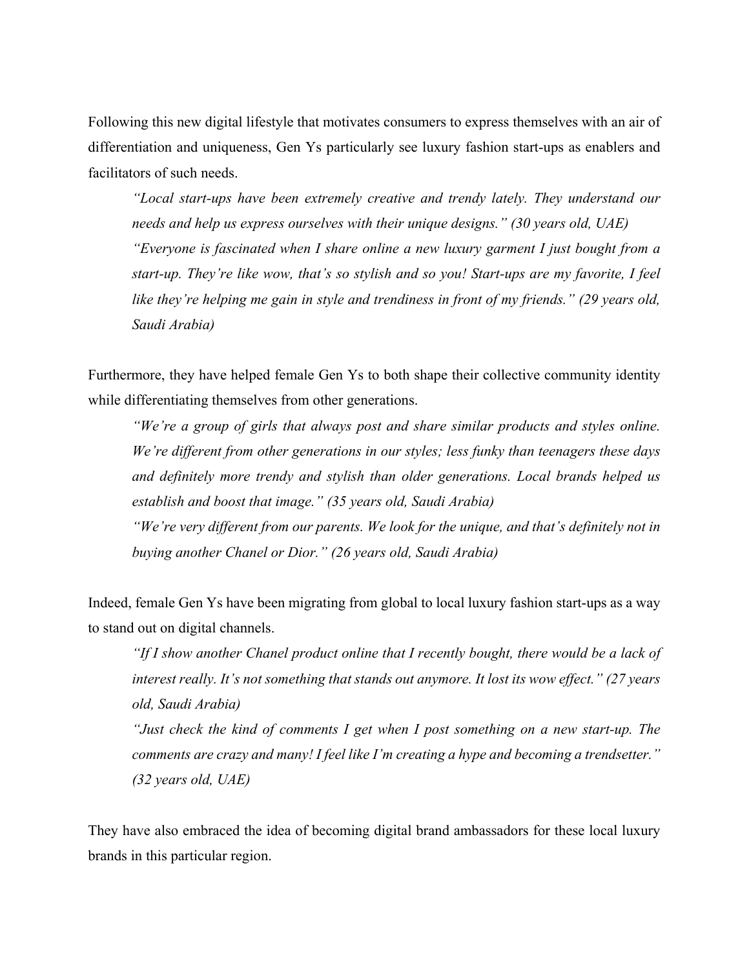Following this new digital lifestyle that motivates consumers to express themselves with an air of differentiation and uniqueness, Gen Ys particularly see luxury fashion start-ups as enablers and facilitators of such needs.

*"Local start-ups have been extremely creative and trendy lately. They understand our needs and help us express ourselves with their unique designs." (30 years old, UAE) "Everyone is fascinated when I share online a new luxury garment I just bought from a start-up. They're like wow, that's so stylish and so you! Start-ups are my favorite, I feel like they're helping me gain in style and trendiness in front of my friends." (29 years old, Saudi Arabia)* 

Furthermore, they have helped female Gen Ys to both shape their collective community identity while differentiating themselves from other generations.

*"We're a group of girls that always post and share similar products and styles online. We're different from other generations in our styles; less funky than teenagers these days and definitely more trendy and stylish than older generations. Local brands helped us establish and boost that image." (35 years old, Saudi Arabia)* 

*"We're very different from our parents. We look for the unique, and that's definitely not in buying another Chanel or Dior." (26 years old, Saudi Arabia)* 

Indeed, female Gen Ys have been migrating from global to local luxury fashion start-ups as a way to stand out on digital channels.

*"If I show another Chanel product online that I recently bought, there would be a lack of interest really. It's not something that stands out anymore. It lost its wow effect." (27 years old, Saudi Arabia)* 

*"Just check the kind of comments I get when I post something on a new start-up. The comments are crazy and many! I feel like I'm creating a hype and becoming a trendsetter." (32 years old, UAE)* 

They have also embraced the idea of becoming digital brand ambassadors for these local luxury brands in this particular region.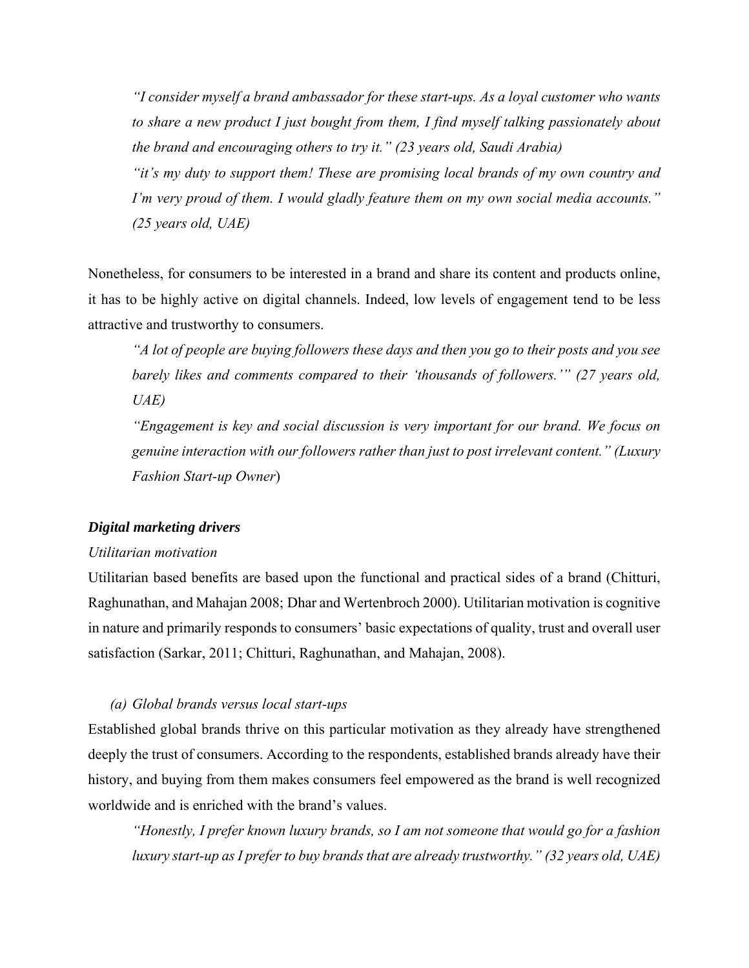*"I consider myself a brand ambassador for these start-ups. As a loyal customer who wants to share a new product I just bought from them, I find myself talking passionately about the brand and encouraging others to try it." (23 years old, Saudi Arabia)* 

*"it's my duty to support them! These are promising local brands of my own country and I'm very proud of them. I would gladly feature them on my own social media accounts." (25 years old, UAE)* 

Nonetheless, for consumers to be interested in a brand and share its content and products online, it has to be highly active on digital channels. Indeed, low levels of engagement tend to be less attractive and trustworthy to consumers.

*"A lot of people are buying followers these days and then you go to their posts and you see barely likes and comments compared to their 'thousands of followers.'" (27 years old, UAE)* 

*"Engagement is key and social discussion is very important for our brand. We focus on genuine interaction with our followers rather than just to post irrelevant content." (Luxury Fashion Start-up Owner*)

### *Digital marketing drivers*

#### *Utilitarian motivation*

Utilitarian based benefits are based upon the functional and practical sides of a brand (Chitturi, Raghunathan, and Mahajan 2008; Dhar and Wertenbroch 2000). Utilitarian motivation is cognitive in nature and primarily responds to consumers' basic expectations of quality, trust and overall user satisfaction (Sarkar, 2011; Chitturi, Raghunathan, and Mahajan, 2008).

#### *(a) Global brands versus local start-ups*

Established global brands thrive on this particular motivation as they already have strengthened deeply the trust of consumers. According to the respondents, established brands already have their history, and buying from them makes consumers feel empowered as the brand is well recognized worldwide and is enriched with the brand's values.

*"Honestly, I prefer known luxury brands, so I am not someone that would go for a fashion luxury start-up as I prefer to buy brands that are already trustworthy." (32 years old, UAE)*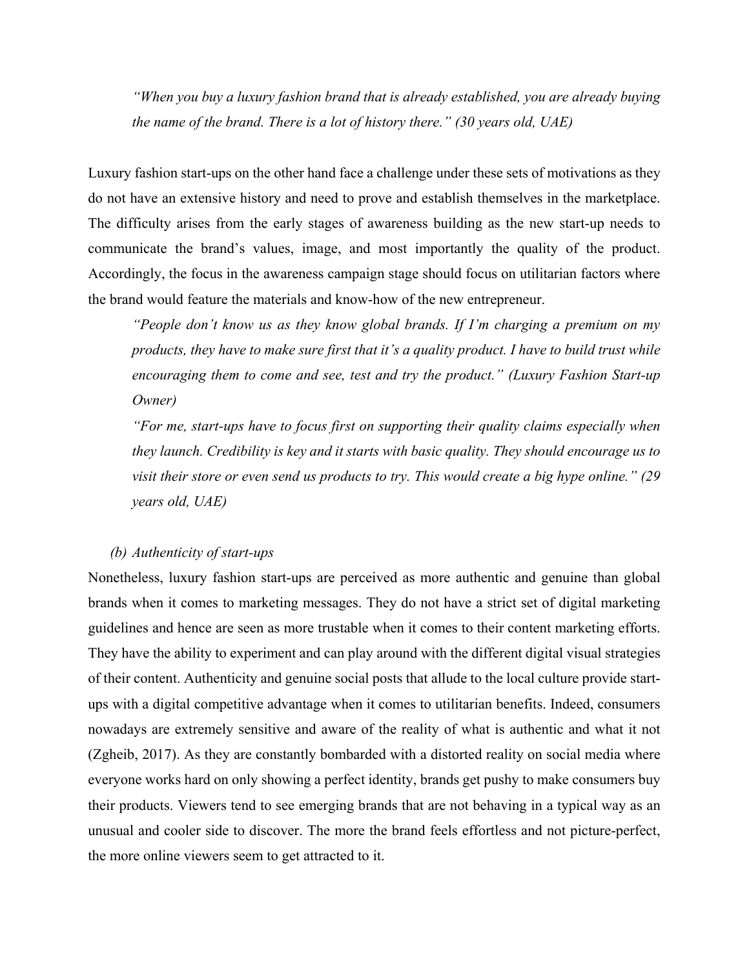*"When you buy a luxury fashion brand that is already established, you are already buying the name of the brand. There is a lot of history there." (30 years old, UAE)* 

Luxury fashion start-ups on the other hand face a challenge under these sets of motivations as they do not have an extensive history and need to prove and establish themselves in the marketplace. The difficulty arises from the early stages of awareness building as the new start-up needs to communicate the brand's values, image, and most importantly the quality of the product. Accordingly, the focus in the awareness campaign stage should focus on utilitarian factors where the brand would feature the materials and know-how of the new entrepreneur.

*"People don't know us as they know global brands. If I'm charging a premium on my products, they have to make sure first that it's a quality product. I have to build trust while encouraging them to come and see, test and try the product." (Luxury Fashion Start-up Owner)* 

*"For me, start-ups have to focus first on supporting their quality claims especially when they launch. Credibility is key and it starts with basic quality. They should encourage us to visit their store or even send us products to try. This would create a big hype online." (29 years old, UAE)* 

## *(b) Authenticity of start-ups*

Nonetheless, luxury fashion start-ups are perceived as more authentic and genuine than global brands when it comes to marketing messages. They do not have a strict set of digital marketing guidelines and hence are seen as more trustable when it comes to their content marketing efforts. They have the ability to experiment and can play around with the different digital visual strategies of their content. Authenticity and genuine social posts that allude to the local culture provide startups with a digital competitive advantage when it comes to utilitarian benefits. Indeed, consumers nowadays are extremely sensitive and aware of the reality of what is authentic and what it not (Zgheib, 2017). As they are constantly bombarded with a distorted reality on social media where everyone works hard on only showing a perfect identity, brands get pushy to make consumers buy their products. Viewers tend to see emerging brands that are not behaving in a typical way as an unusual and cooler side to discover. The more the brand feels effortless and not picture-perfect, the more online viewers seem to get attracted to it.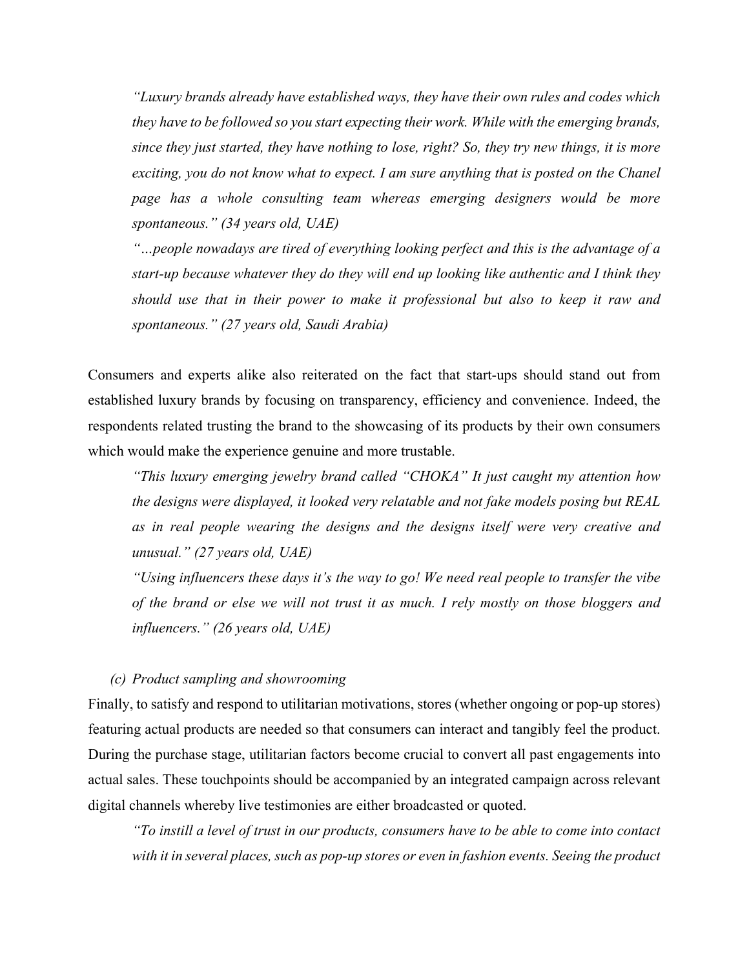*"Luxury brands already have established ways, they have their own rules and codes which they have to be followed so you start expecting their work. While with the emerging brands, since they just started, they have nothing to lose, right? So, they try new things, it is more exciting, you do not know what to expect. I am sure anything that is posted on the Chanel page has a whole consulting team whereas emerging designers would be more spontaneous." (34 years old, UAE)* 

*"…people nowadays are tired of everything looking perfect and this is the advantage of a start-up because whatever they do they will end up looking like authentic and I think they should use that in their power to make it professional but also to keep it raw and spontaneous." (27 years old, Saudi Arabia)* 

Consumers and experts alike also reiterated on the fact that start-ups should stand out from established luxury brands by focusing on transparency, efficiency and convenience. Indeed, the respondents related trusting the brand to the showcasing of its products by their own consumers which would make the experience genuine and more trustable.

*"This luxury emerging jewelry brand called "CHOKA" It just caught my attention how the designs were displayed, it looked very relatable and not fake models posing but REAL as in real people wearing the designs and the designs itself were very creative and unusual." (27 years old, UAE)* 

*"Using influencers these days it's the way to go! We need real people to transfer the vibe of the brand or else we will not trust it as much. I rely mostly on those bloggers and influencers." (26 years old, UAE)* 

## *(c) Product sampling and showrooming*

Finally, to satisfy and respond to utilitarian motivations, stores (whether ongoing or pop-up stores) featuring actual products are needed so that consumers can interact and tangibly feel the product. During the purchase stage, utilitarian factors become crucial to convert all past engagements into actual sales. These touchpoints should be accompanied by an integrated campaign across relevant digital channels whereby live testimonies are either broadcasted or quoted.

*"To instill a level of trust in our products, consumers have to be able to come into contact with it in several places, such as pop-up stores or even in fashion events. Seeing the product*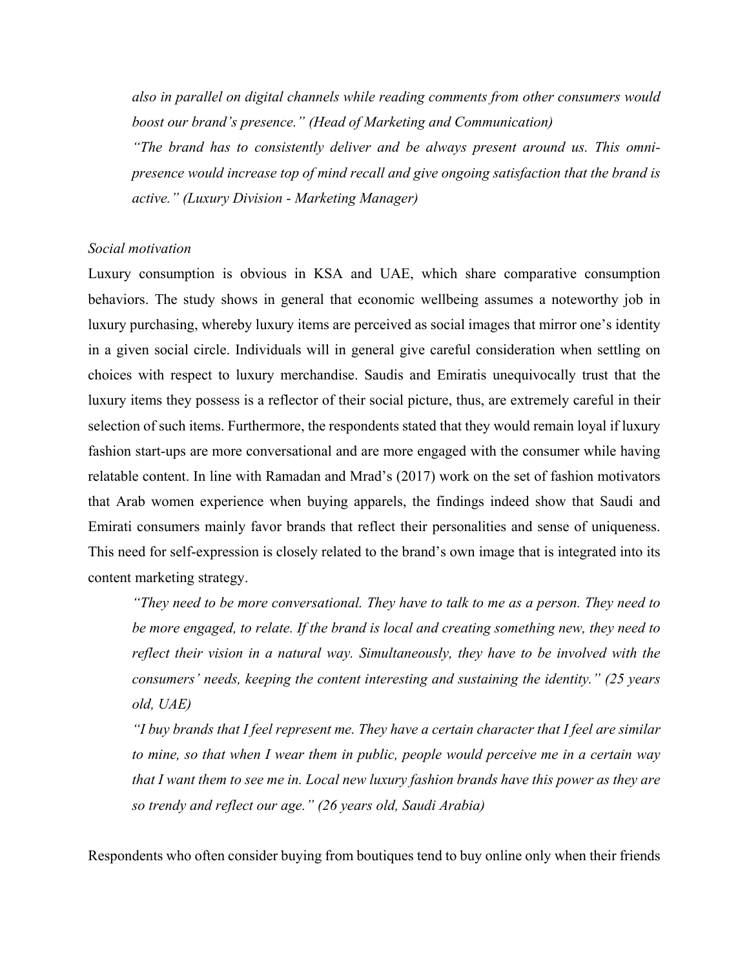*also in parallel on digital channels while reading comments from other consumers would boost our brand's presence." (Head of Marketing and Communication)* 

*"The brand has to consistently deliver and be always present around us. This omnipresence would increase top of mind recall and give ongoing satisfaction that the brand is active." (Luxury Division - Marketing Manager)* 

### *Social motivation*

Luxury consumption is obvious in KSA and UAE, which share comparative consumption behaviors. The study shows in general that economic wellbeing assumes a noteworthy job in luxury purchasing, whereby luxury items are perceived as social images that mirror one's identity in a given social circle. Individuals will in general give careful consideration when settling on choices with respect to luxury merchandise. Saudis and Emiratis unequivocally trust that the luxury items they possess is a reflector of their social picture, thus, are extremely careful in their selection of such items. Furthermore, the respondents stated that they would remain loyal if luxury fashion start-ups are more conversational and are more engaged with the consumer while having relatable content. In line with Ramadan and Mrad's (2017) work on the set of fashion motivators that Arab women experience when buying apparels, the findings indeed show that Saudi and Emirati consumers mainly favor brands that reflect their personalities and sense of uniqueness. This need for self-expression is closely related to the brand's own image that is integrated into its content marketing strategy.

*"They need to be more conversational. They have to talk to me as a person. They need to be more engaged, to relate. If the brand is local and creating something new, they need to reflect their vision in a natural way. Simultaneously, they have to be involved with the consumers' needs, keeping the content interesting and sustaining the identity." (25 years old, UAE)* 

*"I buy brands that I feel represent me. They have a certain character that I feel are similar to mine, so that when I wear them in public, people would perceive me in a certain way that I want them to see me in. Local new luxury fashion brands have this power as they are so trendy and reflect our age." (26 years old, Saudi Arabia)* 

Respondents who often consider buying from boutiques tend to buy online only when their friends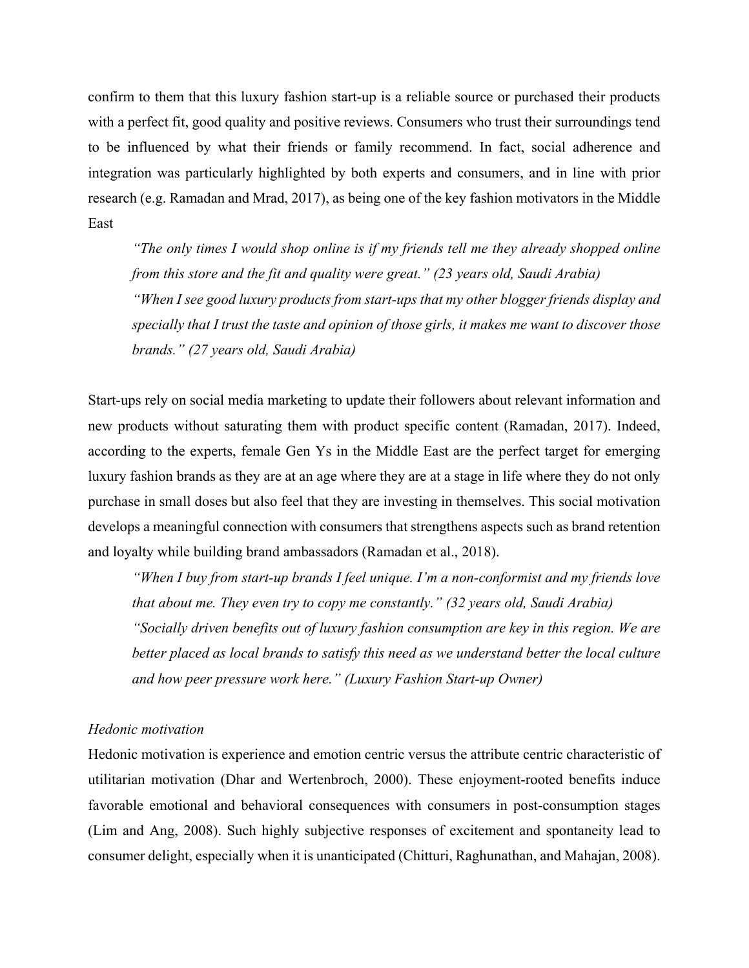confirm to them that this luxury fashion start-up is a reliable source or purchased their products with a perfect fit, good quality and positive reviews. Consumers who trust their surroundings tend to be influenced by what their friends or family recommend. In fact, social adherence and integration was particularly highlighted by both experts and consumers, and in line with prior research (e.g. Ramadan and Mrad, 2017), as being one of the key fashion motivators in the Middle East

*"The only times I would shop online is if my friends tell me they already shopped online from this store and the fit and quality were great." (23 years old, Saudi Arabia) "When I see good luxury products from start-ups that my other blogger friends display and specially that I trust the taste and opinion of those girls, it makes me want to discover those brands." (27 years old, Saudi Arabia)* 

Start-ups rely on social media marketing to update their followers about relevant information and new products without saturating them with product specific content (Ramadan, 2017). Indeed, according to the experts, female Gen Ys in the Middle East are the perfect target for emerging luxury fashion brands as they are at an age where they are at a stage in life where they do not only purchase in small doses but also feel that they are investing in themselves. This social motivation develops a meaningful connection with consumers that strengthens aspects such as brand retention and loyalty while building brand ambassadors (Ramadan et al., 2018).

*"When I buy from start-up brands I feel unique. I'm a non-conformist and my friends love that about me. They even try to copy me constantly." (32 years old, Saudi Arabia)* 

*"Socially driven benefits out of luxury fashion consumption are key in this region. We are better placed as local brands to satisfy this need as we understand better the local culture and how peer pressure work here." (Luxury Fashion Start-up Owner)* 

#### *Hedonic motivation*

Hedonic motivation is experience and emotion centric versus the attribute centric characteristic of utilitarian motivation (Dhar and Wertenbroch, 2000). These enjoyment-rooted benefits induce favorable emotional and behavioral consequences with consumers in post-consumption stages (Lim and Ang, 2008). Such highly subjective responses of excitement and spontaneity lead to consumer delight, especially when it is unanticipated (Chitturi, Raghunathan, and Mahajan, 2008).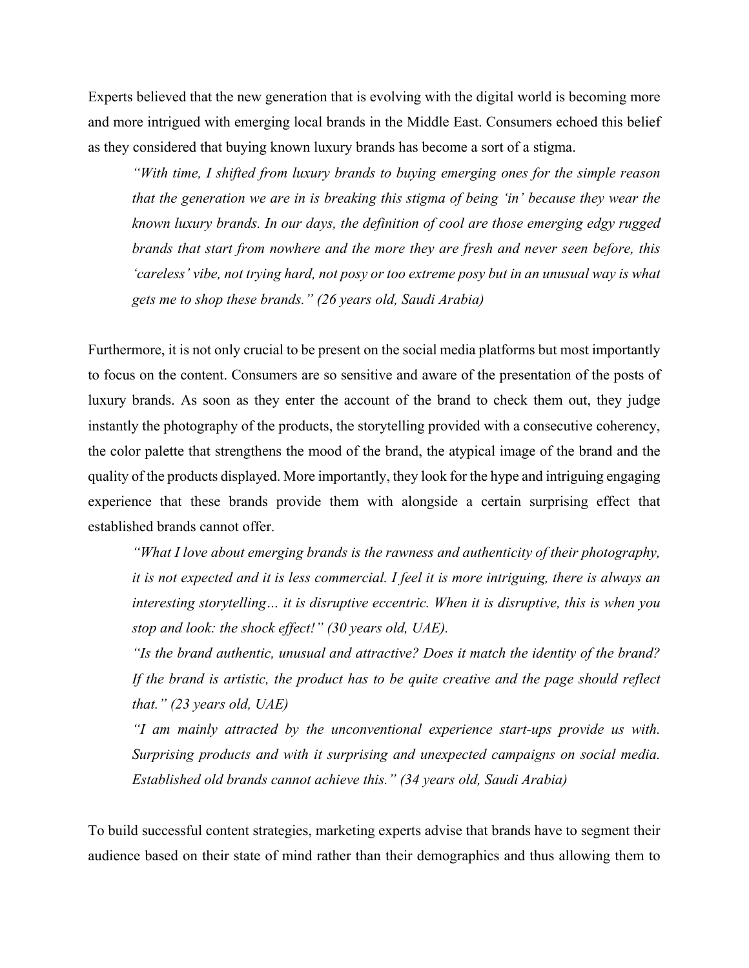Experts believed that the new generation that is evolving with the digital world is becoming more and more intrigued with emerging local brands in the Middle East. Consumers echoed this belief as they considered that buying known luxury brands has become a sort of a stigma.

*"With time, I shifted from luxury brands to buying emerging ones for the simple reason that the generation we are in is breaking this stigma of being 'in' because they wear the known luxury brands. In our days, the definition of cool are those emerging edgy rugged brands that start from nowhere and the more they are fresh and never seen before, this 'careless' vibe, not trying hard, not posy or too extreme posy but in an unusual way is what gets me to shop these brands." (26 years old, Saudi Arabia)* 

Furthermore, it is not only crucial to be present on the social media platforms but most importantly to focus on the content. Consumers are so sensitive and aware of the presentation of the posts of luxury brands. As soon as they enter the account of the brand to check them out, they judge instantly the photography of the products, the storytelling provided with a consecutive coherency, the color palette that strengthens the mood of the brand, the atypical image of the brand and the quality of the products displayed. More importantly, they look for the hype and intriguing engaging experience that these brands provide them with alongside a certain surprising effect that established brands cannot offer.

*"What I love about emerging brands is the rawness and authenticity of their photography, it is not expected and it is less commercial. I feel it is more intriguing, there is always an interesting storytelling… it is disruptive eccentric. When it is disruptive, this is when you stop and look: the shock effect!" (30 years old, UAE).* 

*"Is the brand authentic, unusual and attractive? Does it match the identity of the brand? If the brand is artistic, the product has to be quite creative and the page should reflect that." (23 years old, UAE)* 

*"I am mainly attracted by the unconventional experience start-ups provide us with. Surprising products and with it surprising and unexpected campaigns on social media. Established old brands cannot achieve this." (34 years old, Saudi Arabia)* 

To build successful content strategies, marketing experts advise that brands have to segment their audience based on their state of mind rather than their demographics and thus allowing them to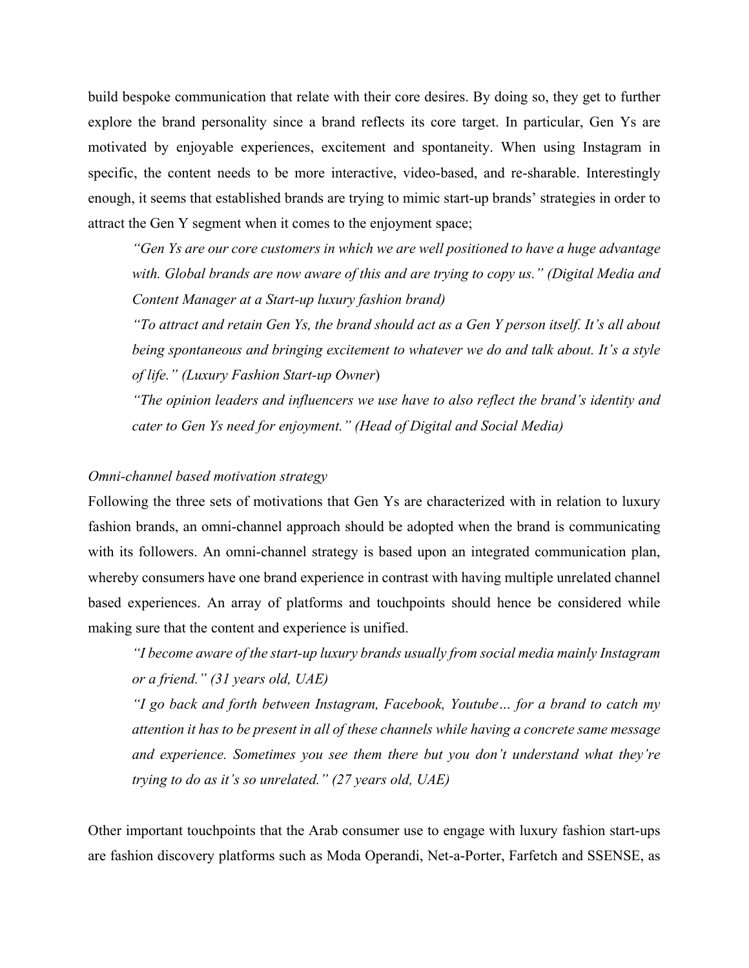build bespoke communication that relate with their core desires. By doing so, they get to further explore the brand personality since a brand reflects its core target. In particular, Gen Ys are motivated by enjoyable experiences, excitement and spontaneity. When using Instagram in specific, the content needs to be more interactive, video-based, and re-sharable. Interestingly enough, it seems that established brands are trying to mimic start-up brands' strategies in order to attract the Gen Y segment when it comes to the enjoyment space;

*"Gen Ys are our core customers in which we are well positioned to have a huge advantage with. Global brands are now aware of this and are trying to copy us." (Digital Media and Content Manager at a Start-up luxury fashion brand)* 

*"To attract and retain Gen Ys, the brand should act as a Gen Y person itself. It's all about being spontaneous and bringing excitement to whatever we do and talk about. It's a style of life." (Luxury Fashion Start-up Owner*)

*"The opinion leaders and influencers we use have to also reflect the brand's identity and cater to Gen Ys need for enjoyment." (Head of Digital and Social Media)* 

## *Omni-channel based motivation strategy*

Following the three sets of motivations that Gen Ys are characterized with in relation to luxury fashion brands, an omni-channel approach should be adopted when the brand is communicating with its followers. An omni-channel strategy is based upon an integrated communication plan, whereby consumers have one brand experience in contrast with having multiple unrelated channel based experiences. An array of platforms and touchpoints should hence be considered while making sure that the content and experience is unified.

*"I become aware of the start-up luxury brands usually from social media mainly Instagram or a friend." (31 years old, UAE)* 

*"I go back and forth between Instagram, Facebook, Youtube… for a brand to catch my attention it has to be present in all of these channels while having a concrete same message and experience. Sometimes you see them there but you don't understand what they're trying to do as it's so unrelated." (27 years old, UAE)* 

Other important touchpoints that the Arab consumer use to engage with luxury fashion start-ups are fashion discovery platforms such as Moda Operandi, Net-a-Porter, Farfetch and SSENSE, as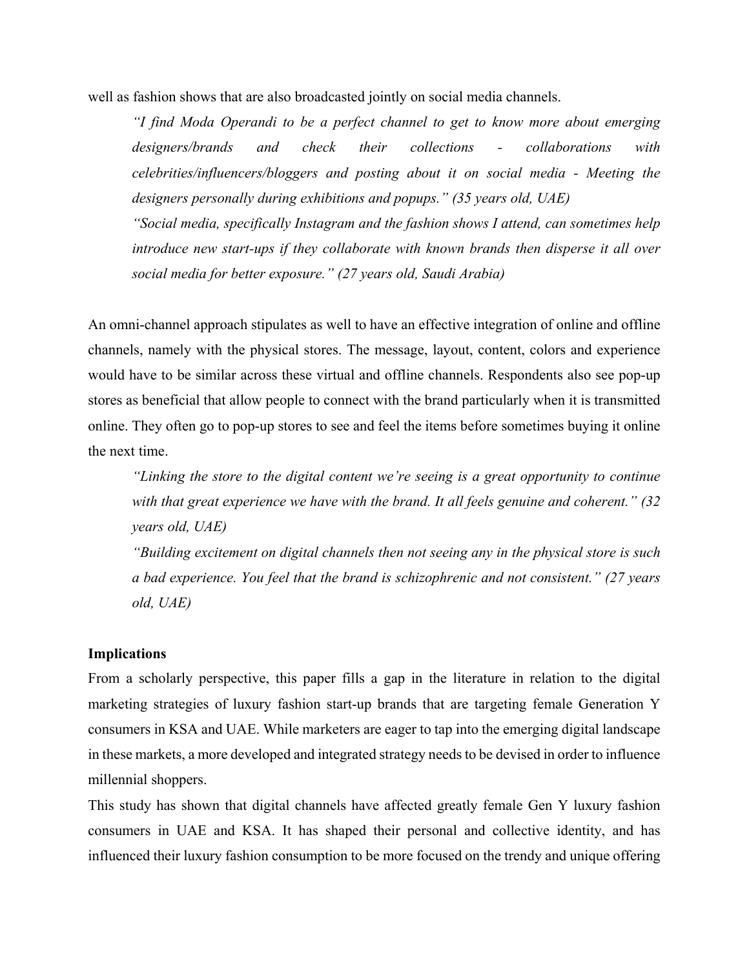well as fashion shows that are also broadcasted jointly on social media channels.

*"I find Moda Operandi to be a perfect channel to get to know more about emerging designers/brands and check their collections - collaborations with celebrities/influencers/bloggers and posting about it on social media - Meeting the designers personally during exhibitions and popups." (35 years old, UAE)* 

*"Social media, specifically Instagram and the fashion shows I attend, can sometimes help introduce new start-ups if they collaborate with known brands then disperse it all over social media for better exposure." (27 years old, Saudi Arabia)* 

An omni-channel approach stipulates as well to have an effective integration of online and offline channels, namely with the physical stores. The message, layout, content, colors and experience would have to be similar across these virtual and offline channels. Respondents also see pop-up stores as beneficial that allow people to connect with the brand particularly when it is transmitted online. They often go to pop-up stores to see and feel the items before sometimes buying it online the next time.

*"Linking the store to the digital content we're seeing is a great opportunity to continue with that great experience we have with the brand. It all feels genuine and coherent." (32 years old, UAE)* 

*"Building excitement on digital channels then not seeing any in the physical store is such a bad experience. You feel that the brand is schizophrenic and not consistent." (27 years old, UAE)* 

### **Implications**

From a scholarly perspective, this paper fills a gap in the literature in relation to the digital marketing strategies of luxury fashion start-up brands that are targeting female Generation Y consumers in KSA and UAE. While marketers are eager to tap into the emerging digital landscape in these markets, a more developed and integrated strategy needs to be devised in order to influence millennial shoppers.

This study has shown that digital channels have affected greatly female Gen Y luxury fashion consumers in UAE and KSA. It has shaped their personal and collective identity, and has influenced their luxury fashion consumption to be more focused on the trendy and unique offering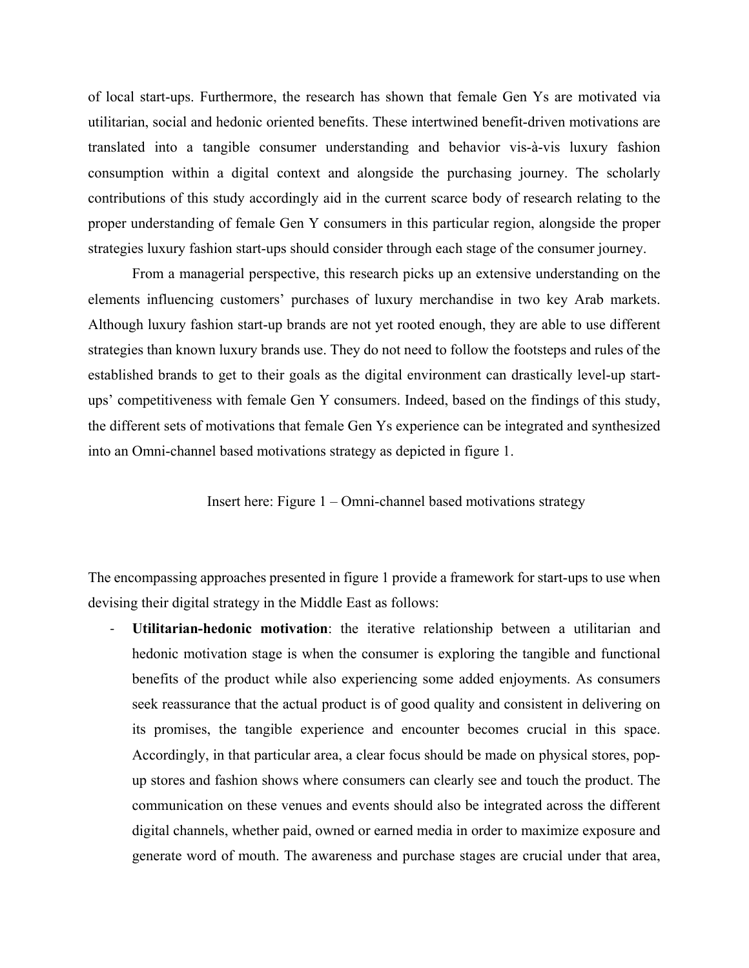of local start-ups. Furthermore, the research has shown that female Gen Ys are motivated via utilitarian, social and hedonic oriented benefits. These intertwined benefit-driven motivations are translated into a tangible consumer understanding and behavior vis-à-vis luxury fashion consumption within a digital context and alongside the purchasing journey. The scholarly contributions of this study accordingly aid in the current scarce body of research relating to the proper understanding of female Gen Y consumers in this particular region, alongside the proper strategies luxury fashion start-ups should consider through each stage of the consumer journey.

From a managerial perspective, this research picks up an extensive understanding on the elements influencing customers' purchases of luxury merchandise in two key Arab markets. Although luxury fashion start-up brands are not yet rooted enough, they are able to use different strategies than known luxury brands use. They do not need to follow the footsteps and rules of the established brands to get to their goals as the digital environment can drastically level-up startups' competitiveness with female Gen Y consumers. Indeed, based on the findings of this study, the different sets of motivations that female Gen Ys experience can be integrated and synthesized into an Omni-channel based motivations strategy as depicted in figure 1.

Insert here: Figure 1 – Omni-channel based motivations strategy

The encompassing approaches presented in figure 1 provide a framework for start-ups to use when devising their digital strategy in the Middle East as follows:

‐ **Utilitarian-hedonic motivation**: the iterative relationship between a utilitarian and hedonic motivation stage is when the consumer is exploring the tangible and functional benefits of the product while also experiencing some added enjoyments. As consumers seek reassurance that the actual product is of good quality and consistent in delivering on its promises, the tangible experience and encounter becomes crucial in this space. Accordingly, in that particular area, a clear focus should be made on physical stores, popup stores and fashion shows where consumers can clearly see and touch the product. The communication on these venues and events should also be integrated across the different digital channels, whether paid, owned or earned media in order to maximize exposure and generate word of mouth. The awareness and purchase stages are crucial under that area,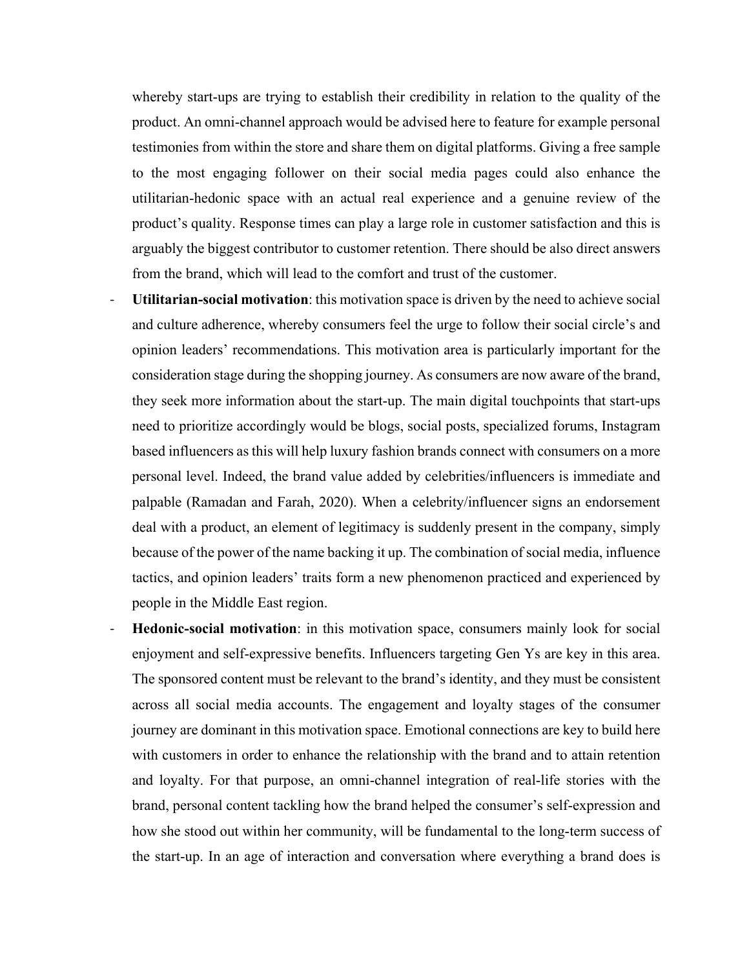whereby start-ups are trying to establish their credibility in relation to the quality of the product. An omni-channel approach would be advised here to feature for example personal testimonies from within the store and share them on digital platforms. Giving a free sample to the most engaging follower on their social media pages could also enhance the utilitarian-hedonic space with an actual real experience and a genuine review of the product's quality. Response times can play a large role in customer satisfaction and this is arguably the biggest contributor to customer retention. There should be also direct answers from the brand, which will lead to the comfort and trust of the customer.

- ‐ **Utilitarian-social motivation**: this motivation space is driven by the need to achieve social and culture adherence, whereby consumers feel the urge to follow their social circle's and opinion leaders' recommendations. This motivation area is particularly important for the consideration stage during the shopping journey. As consumers are now aware of the brand, they seek more information about the start-up. The main digital touchpoints that start-ups need to prioritize accordingly would be blogs, social posts, specialized forums, Instagram based influencers as this will help luxury fashion brands connect with consumers on a more personal level. Indeed, the brand value added by celebrities/influencers is immediate and palpable (Ramadan and Farah, 2020). When a celebrity/influencer signs an endorsement deal with a product, an element of legitimacy is suddenly present in the company, simply because of the power of the name backing it up. The combination of social media, influence tactics, and opinion leaders' traits form a new phenomenon practiced and experienced by people in the Middle East region.
- ‐ **Hedonic-social motivation**: in this motivation space, consumers mainly look for social enjoyment and self-expressive benefits. Influencers targeting Gen Ys are key in this area. The sponsored content must be relevant to the brand's identity, and they must be consistent across all social media accounts. The engagement and loyalty stages of the consumer journey are dominant in this motivation space. Emotional connections are key to build here with customers in order to enhance the relationship with the brand and to attain retention and loyalty. For that purpose, an omni-channel integration of real-life stories with the brand, personal content tackling how the brand helped the consumer's self-expression and how she stood out within her community, will be fundamental to the long-term success of the start-up. In an age of interaction and conversation where everything a brand does is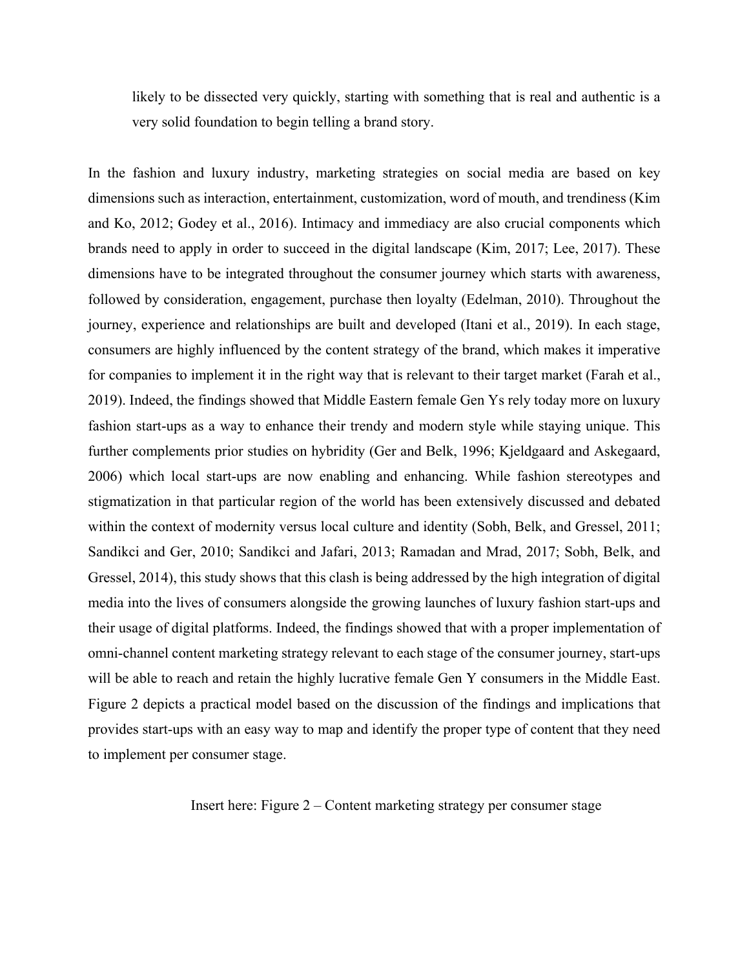likely to be dissected very quickly, starting with something that is real and authentic is a very solid foundation to begin telling a brand story.

In the fashion and luxury industry, marketing strategies on social media are based on key dimensions such as interaction, entertainment, customization, word of mouth, and trendiness (Kim and Ko, 2012; Godey et al., 2016). Intimacy and immediacy are also crucial components which brands need to apply in order to succeed in the digital landscape (Kim, 2017; Lee, 2017). These dimensions have to be integrated throughout the consumer journey which starts with awareness, followed by consideration, engagement, purchase then loyalty (Edelman, 2010). Throughout the journey, experience and relationships are built and developed (Itani et al., 2019). In each stage, consumers are highly influenced by the content strategy of the brand, which makes it imperative for companies to implement it in the right way that is relevant to their target market (Farah et al., 2019). Indeed, the findings showed that Middle Eastern female Gen Ys rely today more on luxury fashion start-ups as a way to enhance their trendy and modern style while staying unique. This further complements prior studies on hybridity (Ger and Belk, 1996; Kjeldgaard and Askegaard, 2006) which local start-ups are now enabling and enhancing. While fashion stereotypes and stigmatization in that particular region of the world has been extensively discussed and debated within the context of modernity versus local culture and identity (Sobh, Belk, and Gressel, 2011; Sandikci and Ger, 2010; Sandikci and Jafari, 2013; Ramadan and Mrad, 2017; Sobh, Belk, and Gressel, 2014), this study shows that this clash is being addressed by the high integration of digital media into the lives of consumers alongside the growing launches of luxury fashion start-ups and their usage of digital platforms. Indeed, the findings showed that with a proper implementation of omni-channel content marketing strategy relevant to each stage of the consumer journey, start-ups will be able to reach and retain the highly lucrative female Gen Y consumers in the Middle East. Figure 2 depicts a practical model based on the discussion of the findings and implications that provides start-ups with an easy way to map and identify the proper type of content that they need to implement per consumer stage.

Insert here: Figure 2 – Content marketing strategy per consumer stage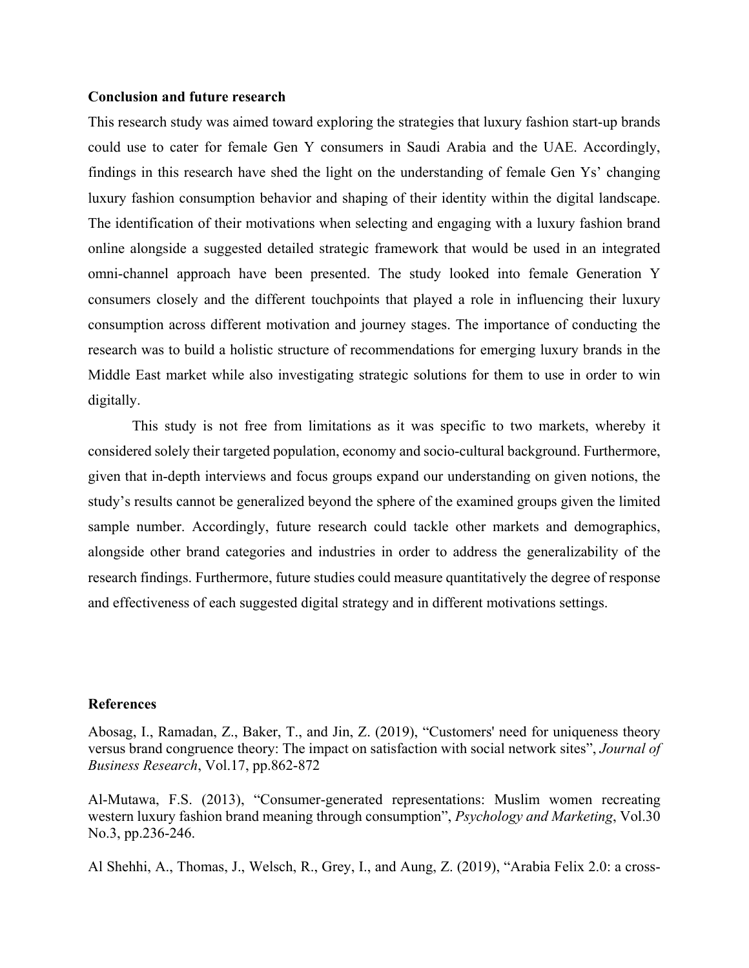### **Conclusion and future research**

This research study was aimed toward exploring the strategies that luxury fashion start-up brands could use to cater for female Gen Y consumers in Saudi Arabia and the UAE. Accordingly, findings in this research have shed the light on the understanding of female Gen Ys' changing luxury fashion consumption behavior and shaping of their identity within the digital landscape. The identification of their motivations when selecting and engaging with a luxury fashion brand online alongside a suggested detailed strategic framework that would be used in an integrated omni-channel approach have been presented. The study looked into female Generation Y consumers closely and the different touchpoints that played a role in influencing their luxury consumption across different motivation and journey stages. The importance of conducting the research was to build a holistic structure of recommendations for emerging luxury brands in the Middle East market while also investigating strategic solutions for them to use in order to win digitally.

This study is not free from limitations as it was specific to two markets, whereby it considered solely their targeted population, economy and socio-cultural background. Furthermore, given that in-depth interviews and focus groups expand our understanding on given notions, the study's results cannot be generalized beyond the sphere of the examined groups given the limited sample number. Accordingly, future research could tackle other markets and demographics, alongside other brand categories and industries in order to address the generalizability of the research findings. Furthermore, future studies could measure quantitatively the degree of response and effectiveness of each suggested digital strategy and in different motivations settings.

#### **References**

Abosag, I., Ramadan, Z., Baker, T., and Jin, Z. (2019), "Customers' need for uniqueness theory versus brand congruence theory: The impact on satisfaction with social network sites", *Journal of Business Research*, Vol.17, pp.862-872

Al-Mutawa, F.S. (2013), "Consumer-generated representations: Muslim women recreating western luxury fashion brand meaning through consumption", *Psychology and Marketing*, Vol.30 No.3, pp.236-246.

Al Shehhi, A., Thomas, J., Welsch, R., Grey, I., and Aung, Z. (2019), "Arabia Felix 2.0: a cross-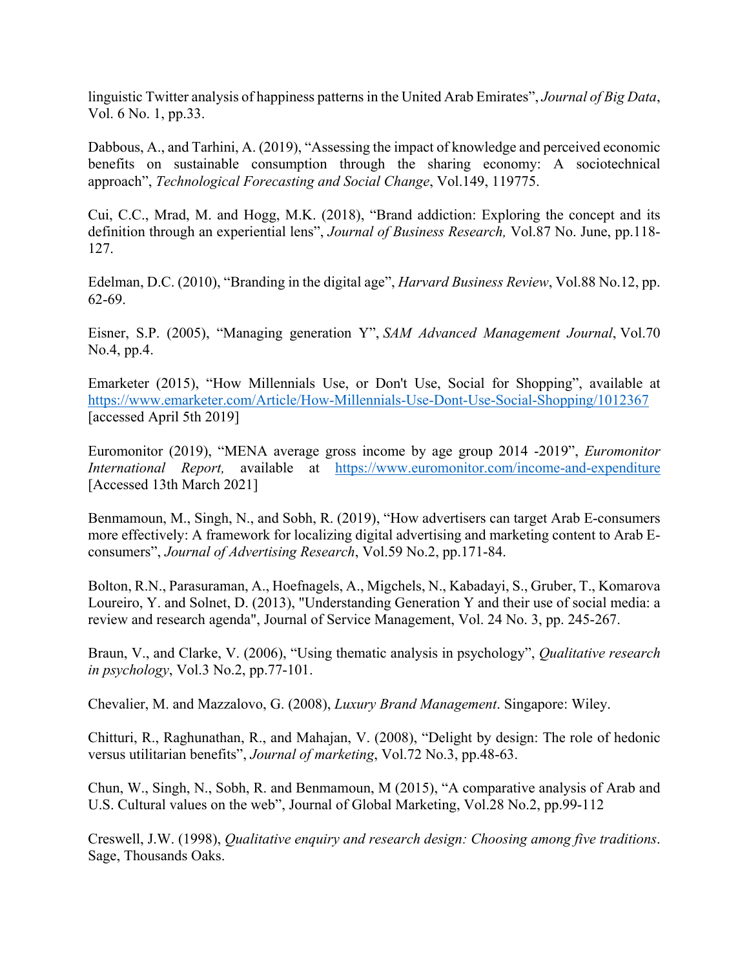linguistic Twitter analysis of happiness patterns in the United Arab Emirates", *Journal of Big Data*, Vol. 6 No. 1, pp.33.

Dabbous, A., and Tarhini, A. (2019), "Assessing the impact of knowledge and perceived economic benefits on sustainable consumption through the sharing economy: A sociotechnical approach", *Technological Forecasting and Social Change*, Vol.149, 119775.

Cui, C.C., Mrad, M. and Hogg, M.K. (2018), "Brand addiction: Exploring the concept and its definition through an experiential lens", *Journal of Business Research,* Vol.87 No. June, pp.118- 127.

Edelman, D.C. (2010), "Branding in the digital age", *Harvard Business Review*, Vol.88 No.12, pp. 62-69.

Eisner, S.P. (2005), "Managing generation Y", *SAM Advanced Management Journal*, Vol.70 No.4, pp.4.

Emarketer (2015), "How Millennials Use, or Don't Use, Social for Shopping", available at https://www.emarketer.com/Article/How-Millennials-Use-Dont-Use-Social-Shopping/1012367 [accessed April 5th 2019]

Euromonitor (2019), "MENA average gross income by age group 2014 -2019", *Euromonitor International Report,* available at https://www.euromonitor.com/income-and-expenditure [Accessed 13th March 2021]

Benmamoun, M., Singh, N., and Sobh, R. (2019), "How advertisers can target Arab E-consumers more effectively: A framework for localizing digital advertising and marketing content to Arab Econsumers", *Journal of Advertising Research*, Vol.59 No.2, pp.171-84.

Bolton, R.N., Parasuraman, A., Hoefnagels, A., Migchels, N., Kabadayi, S., Gruber, T., Komarova Loureiro, Y. and Solnet, D. (2013), "Understanding Generation Y and their use of social media: a review and research agenda", Journal of Service Management, Vol. 24 No. 3, pp. 245-267.

Braun, V., and Clarke, V. (2006), "Using thematic analysis in psychology", *Qualitative research in psychology*, Vol.3 No.2, pp.77-101.

Chevalier, M. and Mazzalovo, G. (2008), *Luxury Brand Management*. Singapore: Wiley.

Chitturi, R., Raghunathan, R., and Mahajan, V. (2008), "Delight by design: The role of hedonic versus utilitarian benefits", *Journal of marketing*, Vol.72 No.3, pp.48-63.

Chun, W., Singh, N., Sobh, R. and Benmamoun, M (2015), "A comparative analysis of Arab and U.S. Cultural values on the web", Journal of Global Marketing, Vol.28 No.2, pp.99-112

Creswell, J.W. (1998), *Qualitative enquiry and research design: Choosing among five traditions*. Sage, Thousands Oaks.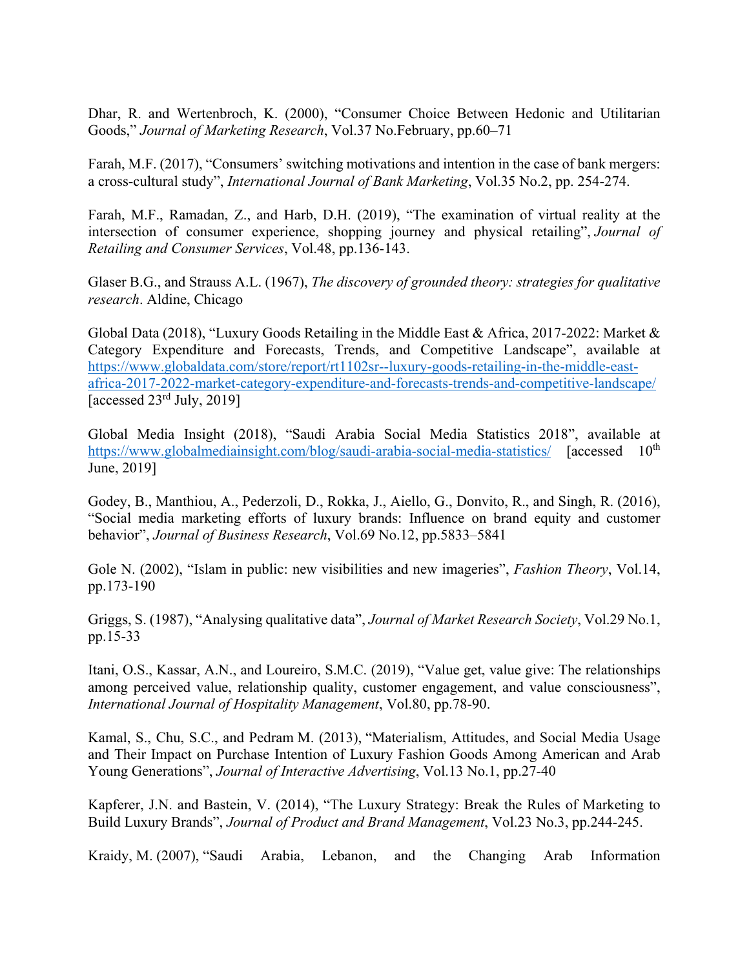Dhar, R. and Wertenbroch, K. (2000), "Consumer Choice Between Hedonic and Utilitarian Goods," *Journal of Marketing Research*, Vol.37 No.February, pp.60–71

Farah, M.F. (2017), "Consumers' switching motivations and intention in the case of bank mergers: a cross-cultural study", *International Journal of Bank Marketing*, Vol.35 No.2, pp. 254-274.

Farah, M.F., Ramadan, Z., and Harb, D.H. (2019), "The examination of virtual reality at the intersection of consumer experience, shopping journey and physical retailing", *Journal of Retailing and Consumer Services*, Vol.48, pp.136-143.

Glaser B.G., and Strauss A.L. (1967), *The discovery of grounded theory: strategies for qualitative research*. Aldine, Chicago

Global Data (2018), "Luxury Goods Retailing in the Middle East & Africa, 2017-2022: Market & Category Expenditure and Forecasts, Trends, and Competitive Landscape", available at https://www.globaldata.com/store/report/rt1102sr--luxury-goods-retailing-in-the-middle-eastafrica-2017-2022-market-category-expenditure-and-forecasts-trends-and-competitive-landscape/ [accessed  $23<sup>rd</sup>$  July, 2019]

Global Media Insight (2018), "Saudi Arabia Social Media Statistics 2018", available at https://www.globalmediainsight.com/blog/saudi-arabia-social-media-statistics/ [accessed 10<sup>th</sup> June, 2019]

Godey, B., Manthiou, A., Pederzoli, D., Rokka, J., Aiello, G., Donvito, R., and Singh, R. (2016), "Social media marketing efforts of luxury brands: Influence on brand equity and customer behavior", *Journal of Business Research*, Vol.69 No.12, pp.5833–5841

Gole N. (2002), "Islam in public: new visibilities and new imageries", *Fashion Theory*, Vol.14, pp.173-190

Griggs, S. (1987), "Analysing qualitative data", *Journal of Market Research Society*, Vol.29 No.1, pp.15-33

Itani, O.S., Kassar, A.N., and Loureiro, S.M.C. (2019), "Value get, value give: The relationships among perceived value, relationship quality, customer engagement, and value consciousness", *International Journal of Hospitality Management*, Vol.80, pp.78-90.

Kamal, S., Chu, S.C., and Pedram M. (2013), "Materialism, Attitudes, and Social Media Usage and Their Impact on Purchase Intention of Luxury Fashion Goods Among American and Arab Young Generations", *Journal of Interactive Advertising*, Vol.13 No.1, pp.27-40

Kapferer, J.N. and Bastein, V. (2014), "The Luxury Strategy: Break the Rules of Marketing to Build Luxury Brands", *Journal of Product and Brand Management*, Vol.23 No.3, pp.244-245.

Kraidy, M. (2007), "Saudi Arabia, Lebanon, and the Changing Arab Information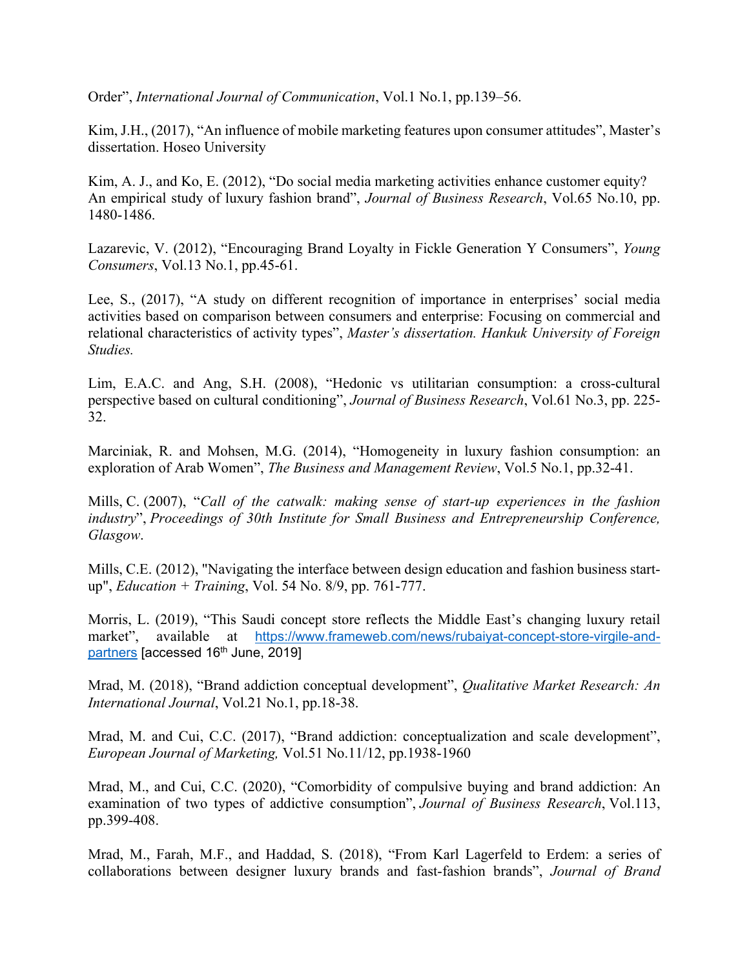Order", *International Journal of Communication*, Vol.1 No.1, pp.139–56.

Kim, J.H., (2017), "An influence of mobile marketing features upon consumer attitudes", Master's dissertation. Hoseo University

Kim, A. J., and Ko, E. (2012), "Do social media marketing activities enhance customer equity? An empirical study of luxury fashion brand", *Journal of Business Research*, Vol.65 No.10, pp. 1480-1486.

Lazarevic, V. (2012), "Encouraging Brand Loyalty in Fickle Generation Y Consumers", *Young Consumers*, Vol.13 No.1, pp.45-61.

Lee, S., (2017), "A study on different recognition of importance in enterprises' social media activities based on comparison between consumers and enterprise: Focusing on commercial and relational characteristics of activity types", *Master's dissertation. Hankuk University of Foreign Studies.* 

Lim, E.A.C. and Ang, S.H. (2008), "Hedonic vs utilitarian consumption: a cross-cultural perspective based on cultural conditioning", *Journal of Business Research*, Vol.61 No.3, pp. 225- 32.

Marciniak, R. and Mohsen, M.G. (2014), "Homogeneity in luxury fashion consumption: an exploration of Arab Women", *The Business and Management Review*, Vol.5 No.1, pp.32-41.

Mills, C. (2007), "*Call of the catwalk: making sense of start‐up experiences in the fashion industry*", *Proceedings of 30th Institute for Small Business and Entrepreneurship Conference, Glasgow*.

Mills, C.E. (2012), "Navigating the interface between design education and fashion business startup", *Education + Training*, Vol. 54 No. 8/9, pp. 761-777.

Morris, L. (2019), "This Saudi concept store reflects the Middle East's changing luxury retail market", available at https://www.frameweb.com/news/rubaiyat-concept-store-virgile-andpartners [accessed 16<sup>th</sup> June, 2019]

Mrad, M. (2018), "Brand addiction conceptual development", *Qualitative Market Research: An International Journal*, Vol.21 No.1, pp.18-38.

Mrad, M. and Cui, C.C. (2017), "Brand addiction: conceptualization and scale development", *European Journal of Marketing,* Vol.51 No.11/12, pp.1938-1960

Mrad, M., and Cui, C.C. (2020), "Comorbidity of compulsive buying and brand addiction: An examination of two types of addictive consumption", *Journal of Business Research*, Vol.113, pp.399-408.

Mrad, M., Farah, M.F., and Haddad, S. (2018), "From Karl Lagerfeld to Erdem: a series of collaborations between designer luxury brands and fast-fashion brands", *Journal of Brand*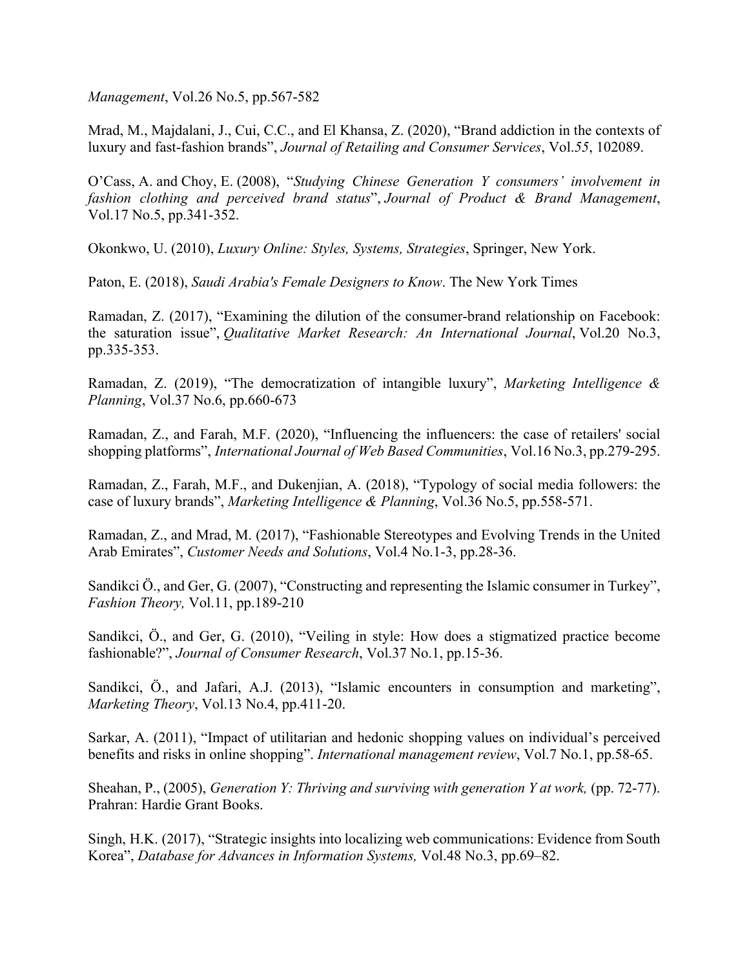*Management*, Vol.26 No.5, pp.567-582

Mrad, M., Majdalani, J., Cui, C.C., and El Khansa, Z. (2020), "Brand addiction in the contexts of luxury and fast-fashion brands", *Journal of Retailing and Consumer Services*, Vol.*55*, 102089.

O'Cass, A. and Choy, E. (2008), "*Studying Chinese Generation Y consumers' involvement in fashion clothing and perceived brand status*", *Journal of Product & Brand Management*, Vol.17 No.5, pp.341-352.

Okonkwo, U. (2010), *Luxury Online: Styles, Systems, Strategies*, Springer, New York.

Paton, E. (2018), *Saudi Arabia's Female Designers to Know*. The New York Times

Ramadan, Z. (2017), "Examining the dilution of the consumer-brand relationship on Facebook: the saturation issue", *Qualitative Market Research: An International Journal*, Vol.20 No.3, pp.335-353.

Ramadan, Z. (2019), "The democratization of intangible luxury", *Marketing Intelligence & Planning*, Vol.37 No.6, pp.660-673

Ramadan, Z., and Farah, M.F. (2020), "Influencing the influencers: the case of retailers' social shopping platforms", *International Journal of Web Based Communities*, Vol.16 No.3, pp.279-295.

Ramadan, Z., Farah, M.F., and Dukenjian, A. (2018), "Typology of social media followers: the case of luxury brands", *Marketing Intelligence & Planning*, Vol.36 No.5, pp.558-571.

Ramadan, Z., and Mrad, M. (2017), "Fashionable Stereotypes and Evolving Trends in the United Arab Emirates", *Customer Needs and Solutions*, Vol.4 No.1-3, pp.28-36.

Sandikci Ö., and Ger, G. (2007), "Constructing and representing the Islamic consumer in Turkey", *Fashion Theory,* Vol.11, pp.189-210

Sandikci, Ö., and Ger, G. (2010), "Veiling in style: How does a stigmatized practice become fashionable?", *Journal of Consumer Research*, Vol.37 No.1, pp.15-36.

Sandikci, Ö., and Jafari, A.J. (2013), "Islamic encounters in consumption and marketing", *Marketing Theory*, Vol.13 No.4, pp.411-20.

Sarkar, A. (2011), "Impact of utilitarian and hedonic shopping values on individual's perceived benefits and risks in online shopping". *International management review*, Vol.7 No.1, pp.58-65.

Sheahan, P., (2005), *Generation Y: Thriving and surviving with generation Y at work,* (pp. 72-77). Prahran: Hardie Grant Books.

Singh, H.K. (2017), "Strategic insights into localizing web communications: Evidence from South Korea", *Database for Advances in Information Systems,* Vol.48 No.3, pp.69–82.